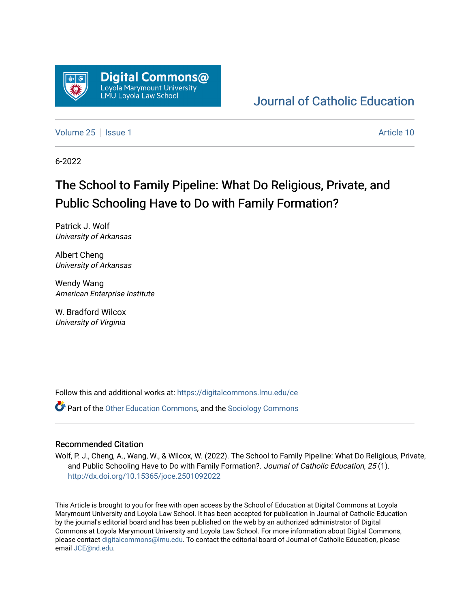

### [Journal of Catholic Education](https://digitalcommons.lmu.edu/ce)

[Volume 25](https://digitalcommons.lmu.edu/ce/vol25) | [Issue 1](https://digitalcommons.lmu.edu/ce/vol25/iss1) Article 10

6-2022

## The School to Family Pipeline: What Do Religious, Private, and Public Schooling Have to Do with Family Formation?

Patrick J. Wolf University of Arkansas

Albert Cheng University of Arkansas

Wendy Wang American Enterprise Institute

W. Bradford Wilcox University of Virginia

Follow this and additional works at: [https://digitalcommons.lmu.edu/ce](https://digitalcommons.lmu.edu/ce?utm_source=digitalcommons.lmu.edu%2Fce%2Fvol25%2Fiss1%2F10&utm_medium=PDF&utm_campaign=PDFCoverPages)

**P** Part of the [Other Education Commons,](https://network.bepress.com/hgg/discipline/811?utm_source=digitalcommons.lmu.edu%2Fce%2Fvol25%2Fiss1%2F10&utm_medium=PDF&utm_campaign=PDFCoverPages) and the [Sociology Commons](https://network.bepress.com/hgg/discipline/416?utm_source=digitalcommons.lmu.edu%2Fce%2Fvol25%2Fiss1%2F10&utm_medium=PDF&utm_campaign=PDFCoverPages)

#### Recommended Citation

Wolf, P. J., Cheng, A., Wang, W., & Wilcox, W. (2022). The School to Family Pipeline: What Do Religious, Private, and Public Schooling Have to Do with Family Formation?. Journal of Catholic Education, 25 (1). <http://dx.doi.org/10.15365/joce.2501092022>

This Article is brought to you for free with open access by the School of Education at Digital Commons at Loyola Marymount University and Loyola Law School. It has been accepted for publication in Journal of Catholic Education by the journal's editorial board and has been published on the web by an authorized administrator of Digital Commons at Loyola Marymount University and Loyola Law School. For more information about Digital Commons, please contact [digitalcommons@lmu.edu](mailto:digitalcommons@lmu.edu). To contact the editorial board of Journal of Catholic Education, please email [JCE@nd.edu](mailto:JCE@nd.edu).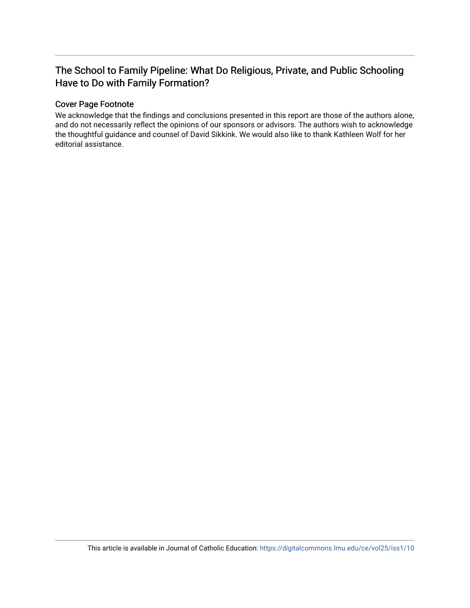### The School to Family Pipeline: What Do Religious, Private, and Public Schooling Have to Do with Family Formation?

#### Cover Page Footnote

We acknowledge that the findings and conclusions presented in this report are those of the authors alone, and do not necessarily reflect the opinions of our sponsors or advisors. The authors wish to acknowledge the thoughtful guidance and counsel of David Sikkink. We would also like to thank Kathleen Wolf for her editorial assistance.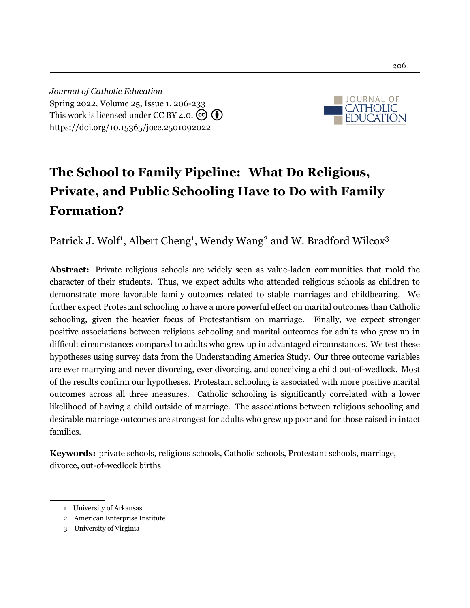*Journal of Catholic Education* Spring 2022, Volume 25, Issue 1, 206[-233](#page-29-0) This work is licensed under CC BY 4.0.  $\left(\overline{\mathbf{c}}\right)\left(\overline{\mathbf{f}}\right)$ <https://doi.org/10.15365/joce.2501092022>



# **The School to Family Pipeline: What Do Religious, Private, and Public Schooling Have to Do with Family Formation?**

Patrick J. Wolf<sup>1</sup>, Albert Cheng<sup>1</sup>, Wendy Wang<sup>2</sup> and W. Bradford Wilcox<sup>3</sup>

**Abstract:** Private religious schools are widely seen as value-laden communities that mold the character of their students. Thus, we expect adults who attended religious schools as children to demonstrate more favorable family outcomes related to stable marriages and childbearing. We further expect Protestant schooling to have a more powerful effect on marital outcomes than Catholic schooling, given the heavier focus of Protestantism on marriage. Finally, we expect stronger positive associations between religious schooling and marital outcomes for adults who grew up in difficult circumstances compared to adults who grew up in advantaged circumstances. We test these hypotheses using survey data from the Understanding America Study. Our three outcome variables are ever marrying and never divorcing, ever divorcing, and conceiving a child out-of-wedlock. Most of the results confirm our hypotheses. Protestant schooling is associated with more positive marital outcomes across all three measures. Catholic schooling is significantly correlated with a lower likelihood of having a child outside of marriage. The associations between religious schooling and desirable marriage outcomes are strongest for adults who grew up poor and for those raised in intact families.

**Keywords:** private schools, religious schools, Catholic schools, Protestant schools, marriage, divorce, out-of-wedlock births

<sup>1</sup> University of Arkansas

<sup>2</sup> American Enterprise Institute

<sup>3</sup> University of Virginia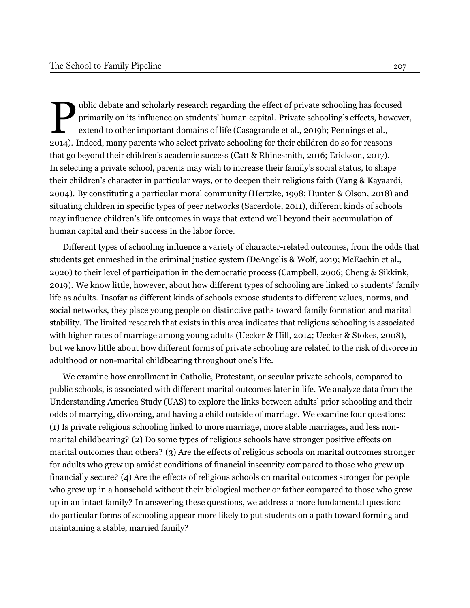P ublic debate and scholarly research regarding the effect of private schooling has focused primarily on its influence on students' human capital. Private schooling's effects, however, extend to other important domains of life([Casagrande et al.](#page-23-0), [2019b](#page-23-0); [Pennings et al.](#page-27-0), [2014](#page-27-0)). Indeed, many parents who select private schooling for their children do so for reasons that go beyond their children's academic success([Catt & Rhinesmith](#page-23-1), [2016](#page-23-1); [Erickson](#page-24-0), [2017\)](#page-24-0). In selecting a private school, parents may wish to increase their family's social status, to shape their children's character in particular ways, or to deepen their religious faith([Yang & Kayaardi](#page-29-1), [2004](#page-29-1)). By constituting a particular moral community([Hertzke](#page-25-0), [1998](#page-25-0); [Hunter & Olson, 2018](#page-26-0)) and situating children in specific types of peer networks([Sacerdote](#page-27-1), [2011\)](#page-27-1), different kinds of schools may influence children's life outcomes in ways that extend well beyond their accumulation of human capital and their success in the labor force.

Different types of schooling influence a variety of character-related outcomes, from the odds that students get enmeshed in the criminal justice system [\(DeAngelis & Wolf, 2019;](#page-24-1) [McEachin et al.](#page-26-1), [2020](#page-26-1)) to their level of participation in the democratic process([Campbell, 2006;](#page-23-2) [Cheng & Sikkink](#page-23-3), [2019](#page-23-3)). We know little, however, about how different types of schooling are linked to students' family life as adults. Insofar as different kinds of schools expose students to different values, norms, and social networks, they place young people on distinctive paths toward family formation and marital stability. The limited research that exists in this area indicates that religious schooling is associated with higher rates of marriage among young adults [\(Uecker & Hill, 2014;](#page-28-0) [Uecker & Stokes, 2008](#page-28-1)), but we know little about how different forms of private schooling are related to the risk of divorce in adulthood or non-marital childbearing throughout one's life.

We examine how enrollment in Catholic, Protestant, or secular private schools, compared to public schools, is associated with different marital outcomes later in life. We analyze data from the Understanding America Study (UAS) to explore the links between adults' prior schooling and their odds of marrying, divorcing, and having a child outside of marriage. We examine four questions: (1) Is private religious schooling linked to more marriage, more stable marriages, and less nonmarital childbearing? (2) Do some types of religious schools have stronger positive effects on marital outcomes than others? (3) Are the effects of religious schools on marital outcomes stronger for adults who grew up amidst conditions of financial insecurity compared to those who grew up financially secure? (4) Are the effects of religious schools on marital outcomes stronger for people who grew up in a household without their biological mother or father compared to those who grew up in an intact family? In answering these questions, we address a more fundamental question: do particular forms of schooling appear more likely to put students on a path toward forming and maintaining a stable, married family?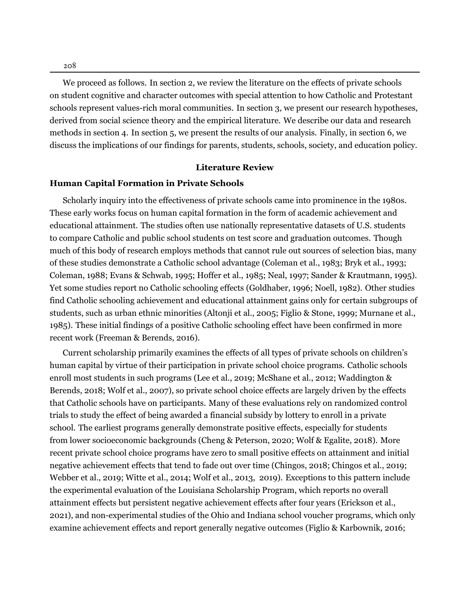208

We proceed as follows. In section 2, we review the literature on the effects of private schools on student cognitive and character outcomes with special attention to how Catholic and Protestant schools represent values-rich moral communities. In section 3, we present our research hypotheses, derived from social science theory and the empirical literature. We describe our data and research methods in section 4. In section 5, we present the results of our analysis. Finally, in section 6, we discuss the implications of our findings for parents, students, schools, society, and education policy.

#### **Literature Review**

#### **Human Capital Formation in Private Schools**

Scholarly inquiry into the effectiveness of private schools came into prominence in the 1980s. These early works focus on human capital formation in the form of academic achievement and educational attainment. The studies often use nationally representative datasets of U.S. students to compare Catholic and public school students on test score and graduation outcomes. Though much of this body of research employs methods that cannot rule out sources of selection bias, many of these studies demonstrate a Catholic school advantage [\(Coleman et al.,](#page-24-2) [1983;](#page-24-2) [Bryk et al.,](#page-23-4) [1993](#page-23-4); [Coleman,](#page-24-3) [1988](#page-24-3); [Evans & Schwab](#page-24-4), [1995;](#page-24-4) [Hoffer et al.](#page-26-2), [1985;](#page-26-2) [Neal](#page-27-2), [1997](#page-27-2); [Sander & Krautmann](#page-27-3), [1995](#page-27-3)). Yet some studies report no Catholic schooling effects ([Goldhaber,](#page-25-1) [1996](#page-25-1); [Noell](#page-27-4), [1982](#page-27-4)). Other studies find Catholic schooling achievement and educational attainment gains only for certain subgroups of students, such as urban ethnic minorities ([Altonji et al.,](#page-23-5) [2005](#page-23-5); [Figlio & Stone](#page-25-2), [1999](#page-25-2); [Murnane et al.,](#page-26-3) [1985\)](#page-26-3). These initial findings of a positive Catholic schooling effect have been confirmed in more recent work ([Freeman & Berends](#page-25-3), [2016](#page-25-3)).

Current scholarship primarily examines the effects of all types of private schools on children's human capital by virtue of their participation in private school choice programs. Catholic schools enroll most students in such programs ([Lee et al.,](#page-26-4) [2019;](#page-26-4) [McShane et al.](#page-26-5), [2012;](#page-26-5) [Waddington &](#page-28-2) [Berends](#page-28-2), [2018;](#page-28-2) [Wolf et al.](#page-29-2), [2007\)](#page-29-2), so private school choice effects are largely driven by the effects that Catholic schools have on participants. Many of these evaluations rely on randomized control trials to study the effect of being awarded a financial subsidy by lottery to enroll in a private school. The earliest programs generally demonstrate positive effects, especially for students from lower socioeconomic backgrounds ([Cheng & Peterson,](#page-23-6) [2020;](#page-23-6) [Wolf & Egalite,](#page-29-3) [2018](#page-29-3)). More recent private school choice programs have zero to small positive effects on attainment and initial negative achievement effects that tend to fade out over time ([Chingos](#page-24-5), [2018;](#page-24-5) [Chingos et al.,](#page-24-6) [2019;](#page-24-6) [Webber et al.,](#page-28-3) [2019;](#page-28-3) [Witte et al.](#page-29-4), [2014;](#page-29-4) [Wolf et al.,](#page-29-5) [2013,](#page-29-5) [2019\)](#page-29-6). Exceptions to this pattern include the experimental evaluation of the Louisiana Scholarship Program, which reports no overall attainment effects but persistent negative achievement effects after four years [\(Erickson et al.,](#page-24-7) [2021](#page-24-7)), and non-experimental studies of the Ohio and Indiana school voucher programs, which only examine achievement effects and report generally negative outcomes [\(Figlio & Karbownik,](#page-24-8) [2016;](#page-24-8)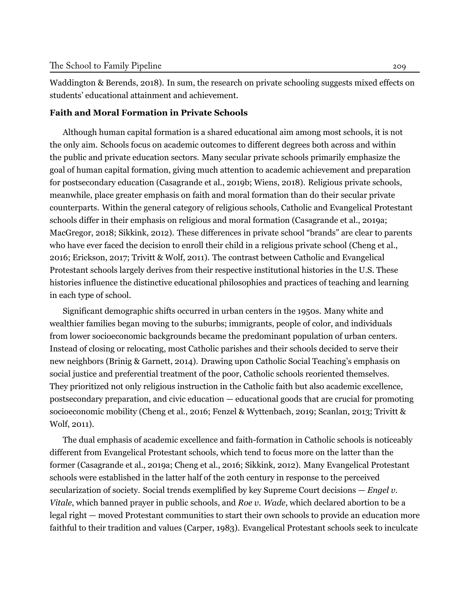[Waddington & Berends](#page-28-2), [2018\)](#page-28-2). In sum, the research on private schooling suggests mixed effects on students' educational attainment and achievement.

#### **Faith and Moral Formation in Private Schools**

Although human capital formation is a shared educational aim among most schools, it is not the only aim. Schools focus on academic outcomes to different degrees both across and within the public and private education sectors. Many secular private schools primarily emphasize the goal of human capital formation, giving much attention to academic achievement and preparation for postsecondary education ([Casagrande et al.,](#page-23-0) [2019b](#page-23-0); [Wiens](#page-28-4), [2018\)](#page-28-4). Religious private schools, meanwhile, place greater emphasis on faith and moral formation than do their secular private counterparts. Within the general category of religious schools, Catholic and Evangelical Protestant schools differ in their emphasis on religious and moral formation [\(Casagrande et al.,](#page-23-7) [2019a](#page-23-7); [MacGregor,](#page-26-6) [2018](#page-26-6); [Sikkink](#page-27-5), [2012](#page-27-5)). These differences in private school "brands" are clear to parents who have ever faced the decision to enroll their child in a religious private school ([Cheng et al.](#page-24-9), [2016](#page-24-9); [Erickson](#page-24-0), [2017;](#page-24-0) [Trivitt & Wolf](#page-28-5), [2011](#page-28-5)). The contrast between Catholic and Evangelical Protestant schools largely derives from their respective institutional histories in the U.S. These histories influence the distinctive educational philosophies and practices of teaching and learning in each type of school.

Significant demographic shifts occurred in urban centers in the 1950s. Many white and wealthier families began moving to the suburbs; immigrants, people of color, and individuals from lower socioeconomic backgrounds became the predominant population of urban centers. Instead of closing or relocating, most Catholic parishes and their schools decided to serve their new neighbors ([Brinig & Garnett](#page-23-8), [2014](#page-23-8)). Drawing upon Catholic Social Teaching's emphasis on social justice and preferential treatment of the poor, Catholic schools reoriented themselves. They prioritized not only religious instruction in the Catholic faith but also academic excellence, postsecondary preparation, and civic education — educational goods that are crucial for promoting socioeconomic mobility [\(Cheng et al.,](#page-24-9) [2016;](#page-24-9) [Fenzel & Wyttenbach,](#page-24-10) [2019;](#page-24-10) [Scanlan,](#page-27-6) [2013](#page-27-6); [Trivitt &](#page-28-5) [Wolf,](#page-28-5) [2011\)](#page-28-5).

The dual emphasis of academic excellence and faith-formation in Catholic schools is noticeably different from Evangelical Protestant schools, which tend to focus more on the latter than the former ([Casagrande et al.,](#page-23-7) [2019a;](#page-23-7) [Cheng et al.](#page-24-9), [2016](#page-24-9); [Sikkink,](#page-27-5) [2012\)](#page-27-5). Many Evangelical Protestant schools were established in the latter half of the 20th century in response to the perceived secularization of society. Social trends exemplified by key Supreme Court decisions — *Engel v. Vitale*, which banned prayer in public schools, and *Roe v. Wade*, which declared abortion to be a legal right — moved Protestant communities to start their own schools to provide an education more faithful to their tradition and values ([Carper,](#page-23-9) [1983\)](#page-23-9). Evangelical Protestant schools seek to inculcate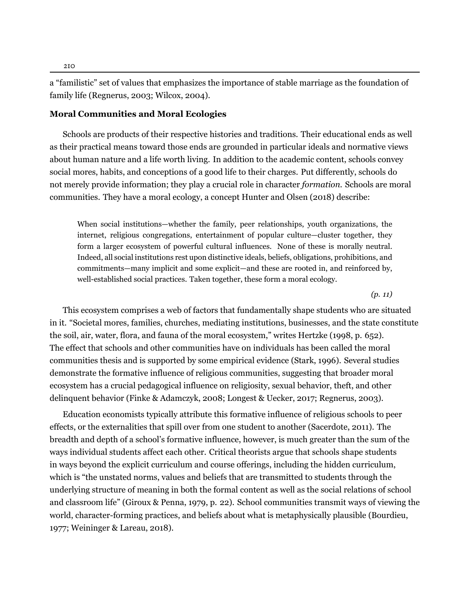a "familistic" set of values that emphasizes the importance of stable marriage as the foundation of family life ([Regnerus](#page-27-7), [2003](#page-27-7); [Wilcox,](#page-28-6) [2004\)](#page-28-6).

#### **Moral Communities and Moral Ecologies**

Schools are products of their respective histories and traditions. Their educational ends as well as their practical means toward those ends are grounded in particular ideals and normative views about human nature and a life worth living. In addition to the academic content, schools convey social mores, habits, and conceptions of a good life to their charges. Put differently, schools do not merely provide information; they play a crucial role in character *formation.* Schools are moral communities. They have a moral ecology, a concept Hunter and Olsen (2018) describe:

When social institutions—whether the family, peer relationships, youth organizations, the internet, religious congregations, entertainment of popular culture—cluster together, they form a larger ecosystem of powerful cultural influences. None of these is morally neutral. Indeed, all social institutions rest upon distinctive ideals, beliefs, obligations, prohibitions, and commitments—many implicit and some explicit—and these are rooted in, and reinforced by, well-established social practices. Taken together, these form a moral ecology.

*(p. 11)*

This ecosystem comprises a web of factors that fundamentally shape students who are situated in it. "Societal mores, families, churches, mediating institutions, businesses, and the state constitute the soil, air, water, flora, and fauna of the moral ecosystem," writes Hertzke([1998](#page-25-0), p. 652). The effect that schools and other communities have on individuals has been called the moral communities thesis and is supported by some empirical evidence [\(Stark](#page-27-8), [1996\)](#page-27-8). Several studies demonstrate the formative influence of religious communities, suggesting that broader moral ecosystem has a crucial pedagogical influence on religiosity, sexual behavior, theft, and other delinquent behavior ([Finke & Adamczyk,](#page-25-4) [2008](#page-25-4); [Longest & Uecker](#page-26-7), [2017;](#page-26-7) [Regnerus,](#page-27-7) [2003\)](#page-27-7).

Education economists typically attribute this formative influence of religious schools to peer effects, or the externalities that spill over from one student to another [\(Sacerdote,](#page-27-1) [2011\)](#page-27-1). The breadth and depth of a school's formative influence, however, is much greater than the sum of the ways individual students affect each other. Critical theorists argue that schools shape students in ways beyond the explicit curriculum and course offerings, including the hidden curriculum, which is "the unstated norms, values and beliefs that are transmitted to students through the underlying structure of meaning in both the formal content as well as the social relations of school and classroom life" (Giroux & Penna, [1979](#page-25-5), p. 22). School communities transmit ways of viewing the world, character-forming practices, and beliefs about what is metaphysically plausible [\(Bourdieu,](#page-23-10) [1977;](#page-23-10) [Weininger & Lareau,](#page-28-7) [2018](#page-28-7)).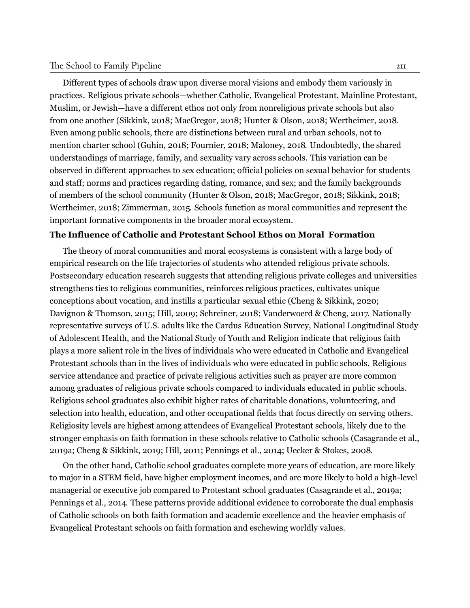#### The School to Family Pipeline 211

Different types of schools draw upon diverse moral visions and embody them variously in practices. Religious private schools—whether Catholic, Evangelical Protestant, Mainline Protestant, Muslim, or Jewish—have a different ethos not only from nonreligious private schools but also from one another ([Sikkink](#page-27-9), [2018;](#page-27-9) [MacGregor,](#page-26-6) [2018](#page-26-6); [Hunter](#page-26-0) & Olson, [2018](#page-26-0); [Wertheimer,](#page-28-8) [2018.](#page-28-8) Even among public schools, there are distinctions between rural and urban schools, not to mention charter school [\(Guhin](#page-25-6), [2018;](#page-25-6) [Fournier](#page-25-7), [2018;](#page-25-7) [Maloney,](#page-26-8) [2018.](#page-26-8) Undoubtedly, the shared understandings of marriage, family, and sexuality vary across schools. This variation can be observed in different approaches to sex education; official policies on sexual behavior for students and staff; norms and practices regarding dating, romance, and sex; and the family backgrounds of members of the school community [\(Hunter](#page-26-0) & Olson, [2018;](#page-26-0) [MacGregor](#page-26-6), [2018;](#page-26-6) [Sikkink](#page-27-9), [2018;](#page-27-9) [Wertheimer](#page-28-8), [2018;](#page-28-8) [Zimmerman,](#page-29-7) [2015.](#page-29-7) Schools function as moral communities and represent the important formative components in the broader moral ecosystem.

#### **The Influence of Catholic and Protestant School Ethos on Moral Formation**

The theory of moral communities and moral ecosystems is consistent with a large body of empirical research on the life trajectories of students who attended religious private schools. Postsecondary education research suggests that attending religious private colleges and universities strengthens ties to religious communities, reinforces religious practices, cultivates unique conceptions about vocation, and instills a particular sexual ethic (Cheng & [Sikkink](#page-24-11), [2020](#page-24-11); [Davignon](#page-24-12) & Thomson, [2015;](#page-24-12) [Hill](#page-25-8), [2009](#page-25-8); [Schreiner](#page-27-10), [2018;](#page-27-10) [Vanderwoerd](#page-28-9) & Cheng, [2017.](#page-28-9) Nationally representative surveys of U.S. adults like the Cardus Education Survey, National Longitudinal Study of Adolescent Health, and the National Study of Youth and Religion indicate that religious faith plays a more salient role in the lives of individuals who were educated in Catholic and Evangelical Protestant schools than in the lives of individuals who were educated in public schools. Religious service attendance and practice of private religious activities such as prayer are more common among graduates of religious private schools compared to individuals educated in public schools. Religious school graduates also exhibit higher rates of charitable donations, volunteering, and selection into health, education, and other occupational fields that focus directly on serving others. Religiosity levels are highest among attendees of Evangelical Protestant schools, likely due to the stronger emphasis on faith formation in these schools relative to Catholic schools [\(Casagrande](#page-23-7) et al., [2019a;](#page-23-7) Cheng & [Sikkink](#page-23-3), [2019](#page-23-3); [Hill,](#page-26-9) [2011](#page-26-9); [Pennings](#page-27-0) et al., [2014](#page-27-0); [Uecker](#page-28-1) & Stokes, [2008.](#page-28-1)

On the other hand, Catholic school graduates complete more years of education, are more likely to major in a STEM field, have higher employment incomes, and are more likely to hold a high-level managerial or executive job compared to Protestant school graduates ([Casagrande](#page-23-7) et al., [2019a](#page-23-7); [Pennings](#page-27-0) et al., [2014.](#page-27-0) These patterns provide additional evidence to corroborate the dual emphasis of Catholic schools on both faith formation and academic excellence and the heavier emphasis of Evangelical Protestant schools on faith formation and eschewing worldly values.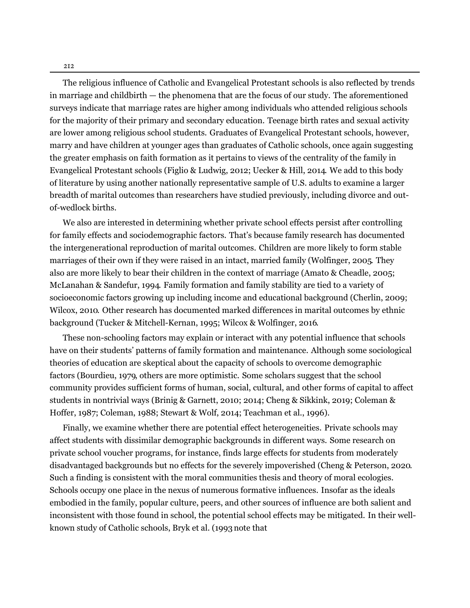212

The religious influence of Catholic and Evangelical Protestant schools is also reflected by trends in marriage and childbirth — the phenomena that are the focus of our study. The aforementioned surveys indicate that marriage rates are higher among individuals who attended religious schools for the majority of their primary and secondary education. Teenage birth rates and sexual activity are lower among religious school students. Graduates of Evangelical Protestant schools, however, marry and have children at younger ages than graduates of Catholic schools, once again suggesting the greater emphasis on faith formation as it pertains to views of the centrality of the family in Evangelical Protestant schools (Figlio & [Ludwig](#page-25-9), [2012](#page-25-9); [Uecker](#page-28-0) & Hill, [2014.](#page-28-0) We add to this body of literature by using another nationally representative sample of U.S. adults to examine a larger breadth of marital outcomes than researchers have studied previously, including divorce and outof-wedlock births.

We also are interested in determining whether private school effects persist after controlling for family effects and sociodemographic factors. That's because family research has documented the intergenerational reproduction of marital outcomes. Children are more likely to form stable marriages of their own if they were raised in an intact, married family [\(Wolfinger,](#page-29-8) [2005.](#page-29-8) They also are more likely to bear their children in the context of marriage (Amato & [Cheadle](#page-23-11), [2005](#page-23-11); [McLanahan](#page-26-10) & Sandefur, [1994.](#page-26-10) Family formation and family stability are tied to a variety of socioeconomic factors growing up including income and educational background [\(Cherlin](#page-24-13), [2009](#page-24-13); [Wilcox](#page-29-9), [2010.](#page-29-9) Other research has documented marked differences in marital outcomes by ethnic background (Tucker & [Mitchell-Kernan](#page-28-10), [1995](#page-28-10); Wilcox & [Wolfinger,](#page-29-10) [2016.](#page-29-10)

These non-schooling factors may explain or interact with any potential influence that schools have on their students' patterns of family formation and maintenance. Although some sociological theories of education are skeptical about the capacity of schools to overcome demographic factors [\(Bourdieu](#page-23-12), [1979,](#page-23-12) others are more optimistic. Some scholars suggest that the school community provides sufficient forms of human, social, cultural, and other forms of capital to affect students in nontrivial ways (Brinig & [Garnett](#page-23-13), [2010](#page-23-13); [2014;](#page-23-8) Cheng & [Sikkink](#page-23-3), [2019](#page-23-3); Coleman & Hoffer, [1987;](#page-24-14) [Coleman,](#page-24-3) [1988](#page-24-3); [Stewart](#page-28-11) & Wolf, [2014;](#page-28-11) [Teachman](#page-24-14) et al., [1996\)](#page-28-12).

Finally, we examine whether there are potential effect heterogeneities. Private schools may affect students with dissimilar demographic backgrounds in different ways. Some research on private school voucher programs, for instance, finds large effects for students from moderately disadvantaged backgrounds but no effects for the severely impoverished (Cheng & [Peterson](#page-23-6), [2020.](#page-23-6) Such a finding is consistent with the moral communities thesis and theory of moral ecologies. Schools occupy one place in the nexus of numerous formative influences. Insofar as the ideals embodied in the family, popular culture, peers, and other sources of influence are both salient and inconsistent with those found in school, the potential school effects may be mitigated. In their wellknown study of Catholic schools, [Bryk](#page-23-4) et al. [\(1993](#page-23-4) note that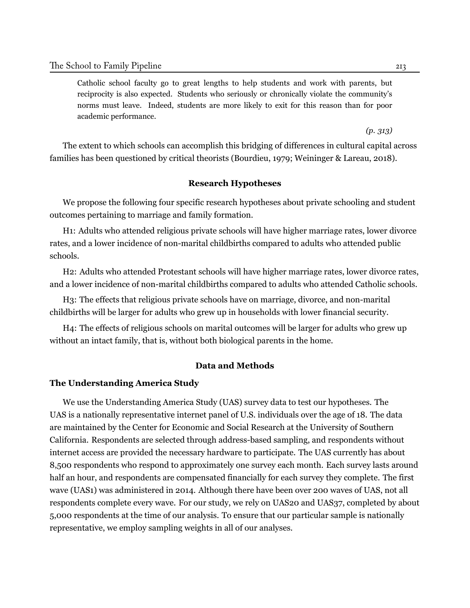Catholic school faculty go to great lengths to help students and work with parents, but reciprocity is also expected. Students who seriously or chronically violate the community's norms must leave. Indeed, students are more likely to exit for this reason than for poor academic performance.

*(p. 313)*

The extent to which schools can accomplish this bridging of differences in cultural capital across families has been questioned by critical theorists [\(Bourdieu,](#page-23-12) [1979;](#page-23-12) [Weininger & Lareau](#page-28-7), [2018\)](#page-28-7).

#### **Research Hypotheses**

We propose the following four specific research hypotheses about private schooling and student outcomes pertaining to marriage and family formation.

H1: Adults who attended religious private schools will have higher marriage rates, lower divorce rates, and a lower incidence of non-marital childbirths compared to adults who attended public schools.

H2: Adults who attended Protestant schools will have higher marriage rates, lower divorce rates, and a lower incidence of non-marital childbirths compared to adults who attended Catholic schools.

H3: The effects that religious private schools have on marriage, divorce, and non-marital childbirths will be larger for adults who grew up in households with lower financial security.

H4: The effects of religious schools on marital outcomes will be larger for adults who grew up without an intact family, that is, without both biological parents in the home.

#### **Data and Methods**

#### **The Understanding America Study**

We use the Understanding America Study (UAS) survey data to test our hypotheses. The UAS is a nationally representative internet panel of U.S. individuals over the age of 18. The data are maintained by the Center for Economic and Social Research at the University of Southern California. Respondents are selected through address-based sampling, and respondents without internet access are provided the necessary hardware to participate. The UAS currently has about 8,500 respondents who respond to approximately one survey each month. Each survey lasts around half an hour, and respondents are compensated financially for each survey they complete. The first wave (UAS1) was administered in 2014. Although there have been over 200 waves of UAS, not all respondents complete every wave. For our study, we rely on UAS20 and UAS37, completed by about 5,000 respondents at the time of our analysis. To ensure that our particular sample is nationally representative, we employ sampling weights in all of our analyses.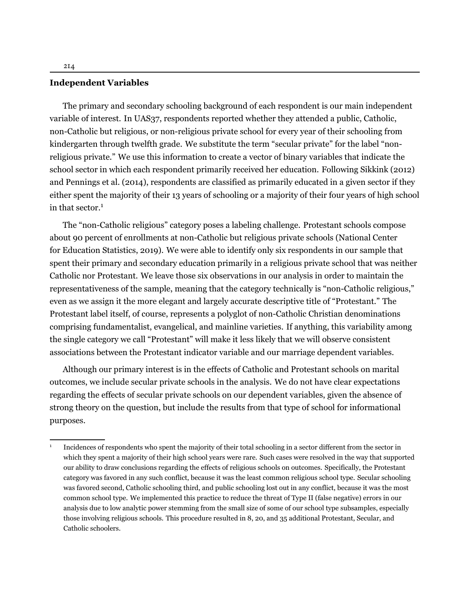#### **Independent Variables**

The primary and secondary schooling background of each respondent is our main independent variable of interest. In UAS37, respondents reported whether they attended a public, Catholic, non-Catholic but religious, or non-religious private school for every year of their schooling from kindergarten through twelfth grade. We substitute the term "secular private" for the label "nonreligious private." We use this information to create a vector of binary variables that indicate the school sector in which each respondent primarily received her education. Following [Sikkink](#page-27-5) ([2012](#page-27-5)) and [Pennings et al.](#page-27-0) ([2014\)](#page-27-0), respondents are classified as primarily educated in a given sector if they either spent the majority of their 13 years of schooling or a majority of their four years of high school in that sector. $1$ 

The "non-Catholic religious" category poses a labeling challenge. Protestant schools compose about 90 percent of enrollments at non-Catholic but religious private schools (National Center for Education Statistics, 2019). We were able to identify only six respondents in our sample that spent their primary and secondary education primarily in a religious private school that was neither Catholic nor Protestant. We leave those six observations in our analysis in order to maintain the representativeness of the sample, meaning that the category technically is "non-Catholic religious," even as we assign it the more elegant and largely accurate descriptive title of "Protestant." The Protestant label itself, of course, represents a polyglot of non-Catholic Christian denominations comprising fundamentalist, evangelical, and mainline varieties. If anything, this variability among the single category we call "Protestant" will make it less likely that we will observe consistent associations between the Protestant indicator variable and our marriage dependent variables.

Although our primary interest is in the effects of Catholic and Protestant schools on marital outcomes, we include secular private schools in the analysis. We do not have clear expectations regarding the effects of secular private schools on our dependent variables, given the absence of strong theory on the question, but include the results from that type of school for informational purposes.

<sup>1</sup> Incidences of respondents who spent the majority of their total schooling in a sector different from the sector in which they spent a majority of their high school years were rare. Such cases were resolved in the way that supported our ability to draw conclusions regarding the effects of religious schools on outcomes. Specifically, the Protestant category was favored in any such conflict, because it was the least common religious school type. Secular schooling was favored second, Catholic schooling third, and public schooling lost out in any conflict, because it was the most common school type. We implemented this practice to reduce the threat of Type II (false negative) errors in our analysis due to low analytic power stemming from the small size of some of our school type subsamples, especially those involving religious schools. This procedure resulted in 8, 20, and 35 additional Protestant, Secular, and Catholic schoolers.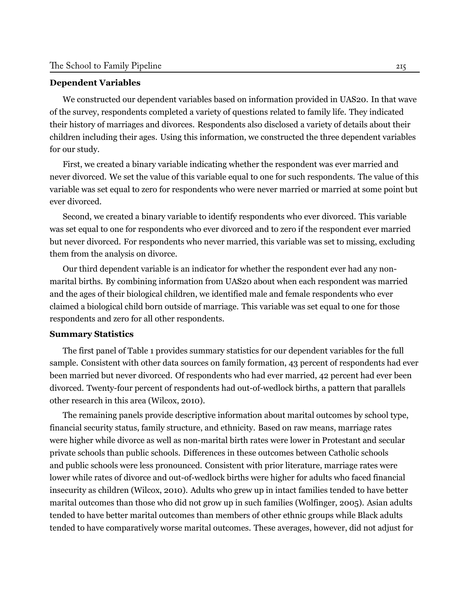#### **Dependent Variables**

We constructed our dependent variables based on information provided in UAS20. In that wave of the survey, respondents completed a variety of questions related to family life. They indicated their history of marriages and divorces. Respondents also disclosed a variety of details about their children including their ages. Using this information, we constructed the three dependent variables for our study.

First, we created a binary variable indicating whether the respondent was ever married and never divorced. We set the value of this variable equal to one for such respondents. The value of this variable was set equal to zero for respondents who were never married or married at some point but ever divorced.

Second, we created a binary variable to identify respondents who ever divorced. This variable was set equal to one for respondents who ever divorced and to zero if the respondent ever married but never divorced. For respondents who never married, this variable was set to missing, excluding them from the analysis on divorce.

Our third dependent variable is an indicator for whether the respondent ever had any nonmarital births. By combining information from UAS20 about when each respondent was married and the ages of their biological children, we identified male and female respondents who ever claimed a biological child born outside of marriage. This variable was set equal to one for those respondents and zero for all other respondents.

#### **Summary Statistics**

The first panel of Table 1 provides summary statistics for our dependent variables for the full sample. Consistent with other data sources on family formation, 43 percent of respondents had ever been married but never divorced. Of respondents who had ever married, 42 percent had ever been divorced. Twenty-four percent of respondents had out-of-wedlock births, a pattern that parallels other research in this area [\(Wilcox](#page-29-9), [2010](#page-29-9)).

The remaining panels provide descriptive information about marital outcomes by school type, financial security status, family structure, and ethnicity. Based on raw means, marriage rates were higher while divorce as well as non-marital birth rates were lower in Protestant and secular private schools than public schools. Differences in these outcomes between Catholic schools and public schools were less pronounced. Consistent with prior literature, marriage rates were lower while rates of divorce and out-of-wedlock births were higher for adults who faced financial insecurity as children ([Wilcox](#page-29-9), [2010\)](#page-29-9). Adults who grew up in intact families tended to have better marital outcomes than those who did not grow up in such families ([Wolfinger,](#page-29-8) [2005\)](#page-29-8). Asian adults tended to have better marital outcomes than members of other ethnic groups while Black adults tended to have comparatively worse marital outcomes. These averages, however, did not adjust for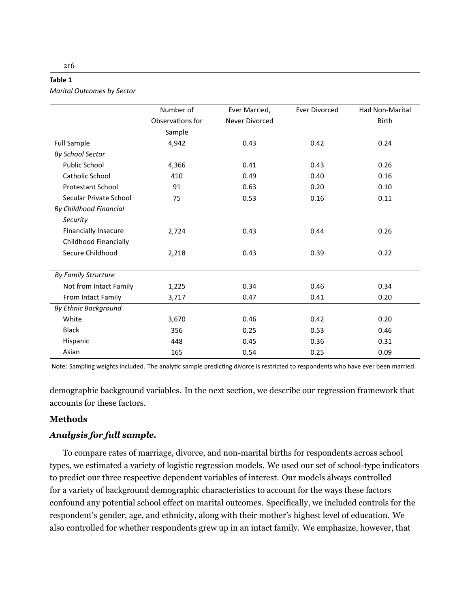| . .<br>×<br>۰.<br>×<br>۰, |  |
|---------------------------|--|
|---------------------------|--|

*Marital Outcomes by Sector*

|                               | Number of        | Ever Married,         | <b>Ever Divorced</b> | <b>Had Non-Marital</b> |
|-------------------------------|------------------|-----------------------|----------------------|------------------------|
|                               | Observations for | <b>Never Divorced</b> |                      | <b>Birth</b>           |
|                               | Sample           |                       |                      |                        |
| <b>Full Sample</b>            | 4,942            | 0.43                  | 0.42                 | 0.24                   |
| <b>By School Sector</b>       |                  |                       |                      |                        |
| <b>Public School</b>          | 4,366            | 0.41                  | 0.43                 | 0.26                   |
| <b>Catholic School</b>        | 410              | 0.49                  | 0.40                 | 0.16                   |
| <b>Protestant School</b>      | 91               | 0.63                  | 0.20                 | 0.10                   |
| Secular Private School        | 75               | 0.53                  | 0.16                 | 0.11                   |
| <b>By Childhood Financial</b> |                  |                       |                      |                        |
| Security                      |                  |                       |                      |                        |
| <b>Financially Insecure</b>   | 2,724            | 0.43                  | 0.44                 | 0.26                   |
| Childhood Financially         |                  |                       |                      |                        |
| Secure Childhood              | 2,218            | 0.43                  | 0.39                 | 0.22                   |
|                               |                  |                       |                      |                        |
| <b>By Family Structure</b>    |                  |                       |                      |                        |
| Not from Intact Family        | 1,225            | 0.34                  | 0.46                 | 0.34                   |
| From Intact Family            | 3,717            | 0.47                  | 0.41                 | 0.20                   |
| By Ethnic Background          |                  |                       |                      |                        |
| White                         | 3,670            | 0.46                  | 0.42                 | 0.20                   |
| <b>Black</b>                  | 356              | 0.25                  | 0.53                 | 0.46                   |
| Hispanic                      | 448              | 0.45                  | 0.36                 | 0.31                   |
| Asian                         | 165              | 0.54                  | 0.25                 | 0.09                   |

Note: Sampling weights included. The analytic sample predicting divorce is restricted to respondents who have ever been married.

demographic background variables. In the next section, we describe our regression framework that accounts for these factors.

#### **Methods**

#### *Analysis for full sample.*

To compare rates of marriage, divorce, and non-marital births for respondents across school types, we estimated a variety of logistic regression models. We used our set of school-type indicators to predict our three respective dependent variables of interest. Our models always controlled for a variety of background demographic characteristics to account for the ways these factors confound any potential school effect on marital outcomes. Specifically, we included controls for the respondent's gender, age, and ethnicity, along with their mother's highest level of education. We also controlled for whether respondents grew up in an intact family. We emphasize, however, that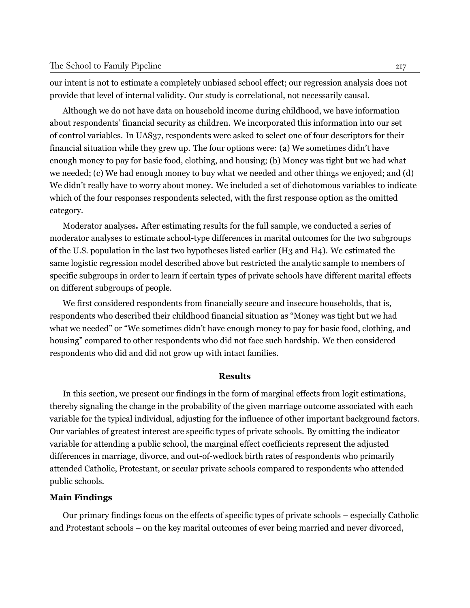our intent is not to estimate a completely unbiased school effect; our regression analysis does not provide that level of internal validity. Our study is correlational, not necessarily causal.

Although we do not have data on household income during childhood, we have information about respondents' financial security as children. We incorporated this information into our set of control variables. In UAS37, respondents were asked to select one of four descriptors for their financial situation while they grew up. The four options were: (a) We sometimes didn't have enough money to pay for basic food, clothing, and housing; (b) Money was tight but we had what we needed; (c) We had enough money to buy what we needed and other things we enjoyed; and (d) We didn't really have to worry about money. We included a set of dichotomous variables to indicate which of the four responses respondents selected, with the first response option as the omitted category.

Moderator analyses**.** After estimating results for the full sample, we conducted a series of moderator analyses to estimate school-type differences in marital outcomes for the two subgroups of the U.S. population in the last two hypotheses listed earlier (H3 and H4). We estimated the same logistic regression model described above but restricted the analytic sample to members of specific subgroups in order to learn if certain types of private schools have different marital effects on different subgroups of people.

We first considered respondents from financially secure and insecure households, that is, respondents who described their childhood financial situation as "Money was tight but we had what we needed" or "We sometimes didn't have enough money to pay for basic food, clothing, and housing" compared to other respondents who did not face such hardship. We then considered respondents who did and did not grow up with intact families.

#### **Results**

In this section, we present our findings in the form of marginal effects from logit estimations, thereby signaling the change in the probability of the given marriage outcome associated with each variable for the typical individual, adjusting for the influence of other important background factors. Our variables of greatest interest are specific types of private schools. By omitting the indicator variable for attending a public school, the marginal effect coefficients represent the adjusted differences in marriage, divorce, and out-of-wedlock birth rates of respondents who primarily attended Catholic, Protestant, or secular private schools compared to respondents who attended public schools.

#### **Main Findings**

Our primary findings focus on the effects of specific types of private schools – especially Catholic and Protestant schools – on the key marital outcomes of ever being married and never divorced,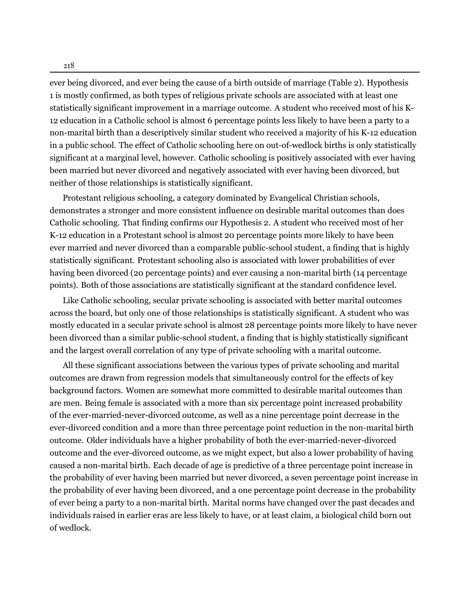ever being divorced, and ever being the cause of a birth outside of marriage (Table 2). Hypothesis 1 is mostly confirmed, as both types of religious private schools are associated with at least one statistically significant improvement in a marriage outcome. A student who received most of his K-12 education in a Catholic school is almost 6 percentage points less likely to have been a party to a non-marital birth than a descriptively similar student who received a majority of his K-12 education in a public school. The effect of Catholic schooling here on out-of-wedlock births is only statistically significant at a marginal level, however. Catholic schooling is positively associated with ever having been married but never divorced and negatively associated with ever having been divorced, but neither of those relationships is statistically significant.

Protestant religious schooling, a category dominated by Evangelical Christian schools, demonstrates a stronger and more consistent influence on desirable marital outcomes than does Catholic schooling. That finding confirms our Hypothesis 2. A student who received most of her K-12 education in a Protestant school is almost 20 percentage points more likely to have been ever married and never divorced than a comparable public-school student, a finding that is highly statistically significant. Protestant schooling also is associated with lower probabilities of ever having been divorced (20 percentage points) and ever causing a non-marital birth (14 percentage points). Both of those associations are statistically significant at the standard confidence level.

Like Catholic schooling, secular private schooling is associated with better marital outcomes across the board, but only one of those relationships is statistically significant. A student who was mostly educated in a secular private school is almost 28 percentage points more likely to have never been divorced than a similar public-school student, a finding that is highly statistically significant and the largest overall correlation of any type of private schooling with a marital outcome.

All these significant associations between the various types of private schooling and marital outcomes are drawn from regression models that simultaneously control for the effects of key background factors. Women are somewhat more committed to desirable marital outcomes than are men. Being female is associated with a more than six percentage point increased probability of the ever-married-never-divorced outcome, as well as a nine percentage point decrease in the ever-divorced condition and a more than three percentage point reduction in the non-marital birth outcome. Older individuals have a higher probability of both the ever-married-never-divorced outcome and the ever-divorced outcome, as we might expect, but also a lower probability of having caused a non-marital birth. Each decade of age is predictive of a three percentage point increase in the probability of ever having been married but never divorced, a seven percentage point increase in the probability of ever having been divorced, and a one percentage point decrease in the probability of ever being a party to a non-marital birth. Marital norms have changed over the past decades and individuals raised in earlier eras are less likely to have, or at least claim, a biological child born out of wedlock.

218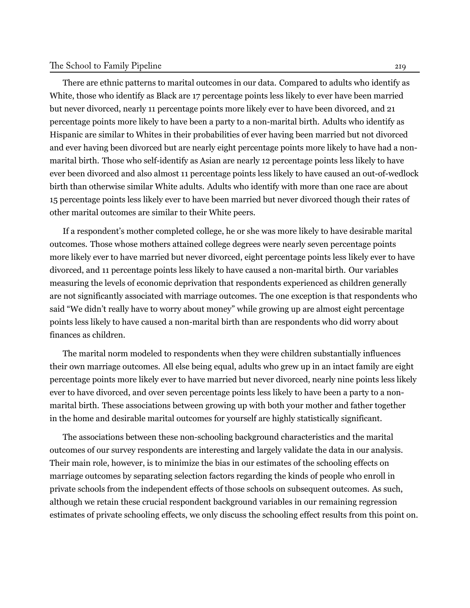#### The School to Family Pipeline 219

There are ethnic patterns to marital outcomes in our data. Compared to adults who identify as White, those who identify as Black are 17 percentage points less likely to ever have been married but never divorced, nearly 11 percentage points more likely ever to have been divorced, and 21 percentage points more likely to have been a party to a non-marital birth. Adults who identify as Hispanic are similar to Whites in their probabilities of ever having been married but not divorced and ever having been divorced but are nearly eight percentage points more likely to have had a nonmarital birth. Those who self-identify as Asian are nearly 12 percentage points less likely to have ever been divorced and also almost 11 percentage points less likely to have caused an out-of-wedlock birth than otherwise similar White adults. Adults who identify with more than one race are about 15 percentage points less likely ever to have been married but never divorced though their rates of other marital outcomes are similar to their White peers.

If a respondent's mother completed college, he or she was more likely to have desirable marital outcomes. Those whose mothers attained college degrees were nearly seven percentage points more likely ever to have married but never divorced, eight percentage points less likely ever to have divorced, and 11 percentage points less likely to have caused a non-marital birth. Our variables measuring the levels of economic deprivation that respondents experienced as children generally are not significantly associated with marriage outcomes. The one exception is that respondents who said "We didn't really have to worry about money" while growing up are almost eight percentage points less likely to have caused a non-marital birth than are respondents who did worry about finances as children.

The marital norm modeled to respondents when they were children substantially influences their own marriage outcomes. All else being equal, adults who grew up in an intact family are eight percentage points more likely ever to have married but never divorced, nearly nine points less likely ever to have divorced, and over seven percentage points less likely to have been a party to a nonmarital birth. These associations between growing up with both your mother and father together in the home and desirable marital outcomes for yourself are highly statistically significant.

The associations between these non-schooling background characteristics and the marital outcomes of our survey respondents are interesting and largely validate the data in our analysis. Their main role, however, is to minimize the bias in our estimates of the schooling effects on marriage outcomes by separating selection factors regarding the kinds of people who enroll in private schools from the independent effects of those schools on subsequent outcomes. As such, although we retain these crucial respondent background variables in our remaining regression estimates of private schooling effects, we only discuss the schooling effect results from this point on.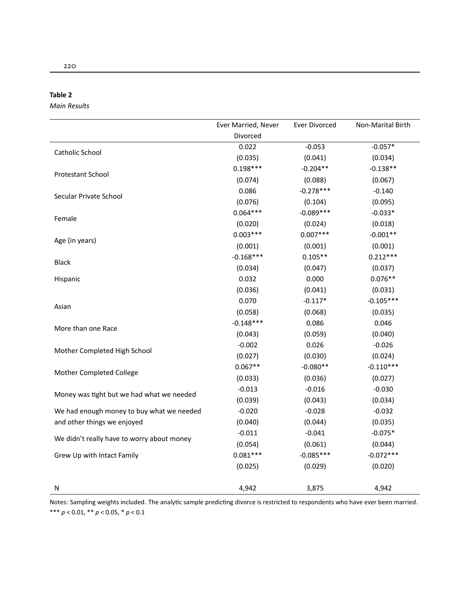| . .<br>×<br>۰.<br>× | ۰, |
|---------------------|----|
|---------------------|----|

*Main Results*

|                                            | Ever Married, Never | Ever Divorced | Non-Marital Birth |
|--------------------------------------------|---------------------|---------------|-------------------|
|                                            | Divorced            |               |                   |
| Catholic School                            | 0.022               | $-0.053$      | $-0.057*$         |
|                                            | (0.035)             | (0.041)       | (0.034)           |
| Protestant School                          | $0.198***$          | $-0.204**$    | $-0.138**$        |
|                                            | (0.074)             | (0.088)       | (0.067)           |
| Secular Private School                     | 0.086               | $-0.278***$   | $-0.140$          |
|                                            | (0.076)             | (0.104)       | (0.095)           |
|                                            | $0.064***$          | $-0.089***$   | $-0.033*$         |
| Female                                     | (0.020)             | (0.024)       | (0.018)           |
|                                            | $0.003***$          | $0.007***$    | $-0.001**$        |
| Age (in years)                             | (0.001)             | (0.001)       | (0.001)           |
|                                            | $-0.168***$         | $0.105**$     | $0.212***$        |
| Black                                      | (0.034)             | (0.047)       | (0.037)           |
| Hispanic                                   | 0.032               | 0.000         | $0.076**$         |
|                                            | (0.036)             | (0.041)       | (0.031)           |
|                                            | 0.070               | $-0.117*$     | $-0.105***$       |
| Asian                                      | (0.058)             | (0.068)       | (0.035)           |
|                                            | $-0.148***$         | 0.086         | 0.046             |
| More than one Race                         | (0.043)             | (0.059)       | (0.040)           |
|                                            | $-0.002$            | 0.026         | $-0.026$          |
| Mother Completed High School               | (0.027)             | (0.030)       | (0.024)           |
|                                            | $0.067**$           | $-0.080**$    | $-0.110***$       |
| Mother Completed College                   | (0.033)             | (0.036)       | (0.027)           |
|                                            | $-0.013$            | $-0.016$      | $-0.030$          |
| Money was tight but we had what we needed  | (0.039)             | (0.043)       | (0.034)           |
| We had enough money to buy what we needed  | $-0.020$            | $-0.028$      | $-0.032$          |
| and other things we enjoyed                | (0.040)             | (0.044)       | (0.035)           |
|                                            | $-0.011$            | $-0.041$      | $-0.075*$         |
| We didn't really have to worry about money | (0.054)             | (0.061)       | (0.044)           |
| Grew Up with Intact Family                 | $0.081***$          | $-0.085***$   | $-0.072***$       |
|                                            | (0.025)             | (0.029)       | (0.020)           |
| Ν                                          | 4,942               | 3,875         | 4,942             |

Notes: Sampling weights included. The analytic sample predicting divorce is restricted to respondents who have ever been married. \*\*\* *p* < 0.01, \*\* *p* < 0.05, \* *p* < 0.1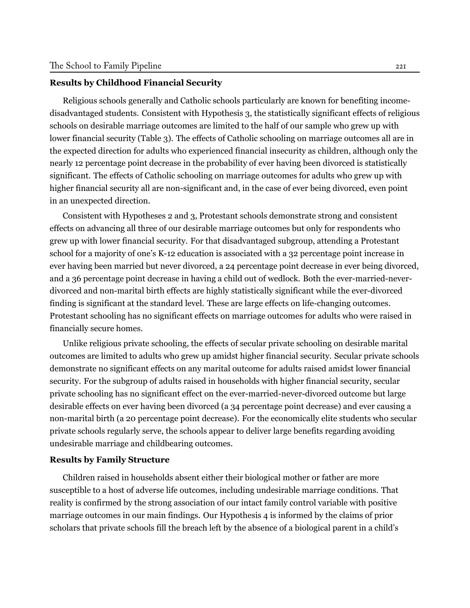#### **Results by Childhood Financial Security**

Religious schools generally and Catholic schools particularly are known for benefiting incomedisadvantaged students. Consistent with Hypothesis 3, the statistically significant effects of religious schools on desirable marriage outcomes are limited to the half of our sample who grew up with lower financial security (Table 3). The effects of Catholic schooling on marriage outcomes all are in the expected direction for adults who experienced financial insecurity as children, although only the nearly 12 percentage point decrease in the probability of ever having been divorced is statistically significant. The effects of Catholic schooling on marriage outcomes for adults who grew up with higher financial security all are non-significant and, in the case of ever being divorced, even point in an unexpected direction.

Consistent with Hypotheses 2 and 3, Protestant schools demonstrate strong and consistent effects on advancing all three of our desirable marriage outcomes but only for respondents who grew up with lower financial security. For that disadvantaged subgroup, attending a Protestant school for a majority of one's K-12 education is associated with a 32 percentage point increase in ever having been married but never divorced, a 24 percentage point decrease in ever being divorced, and a 36 percentage point decrease in having a child out of wedlock. Both the ever-married-neverdivorced and non-marital birth effects are highly statistically significant while the ever-divorced finding is significant at the standard level. These are large effects on life-changing outcomes. Protestant schooling has no significant effects on marriage outcomes for adults who were raised in financially secure homes.

Unlike religious private schooling, the effects of secular private schooling on desirable marital outcomes are limited to adults who grew up amidst higher financial security. Secular private schools demonstrate no significant effects on any marital outcome for adults raised amidst lower financial security. For the subgroup of adults raised in households with higher financial security, secular private schooling has no significant effect on the ever-married-never-divorced outcome but large desirable effects on ever having been divorced (a 34 percentage point decrease) and ever causing a non-marital birth (a 20 percentage point decrease). For the economically elite students who secular private schools regularly serve, the schools appear to deliver large benefits regarding avoiding undesirable marriage and childbearing outcomes.

#### **Results by Family Structure**

Children raised in households absent either their biological mother or father are more susceptible to a host of adverse life outcomes, including undesirable marriage conditions. That reality is confirmed by the strong association of our intact family control variable with positive marriage outcomes in our main findings. Our Hypothesis 4 is informed by the claims of prior scholars that private schools fill the breach left by the absence of a biological parent in a child's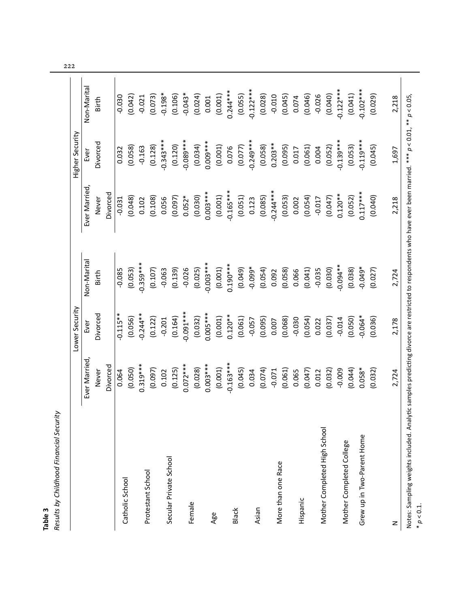|                                                                                                                                                            |              | Lower Security    |             |              | Higher Security |             |
|------------------------------------------------------------------------------------------------------------------------------------------------------------|--------------|-------------------|-------------|--------------|-----------------|-------------|
|                                                                                                                                                            | Ever Married | Ever              | Non-Marital | Ever Married | Ever            | Non-Marital |
|                                                                                                                                                            | Never        | Divorced          | Birth       | Never        | Divorced        | Birth       |
|                                                                                                                                                            | Divorced     |                   |             | Divorced     |                 |             |
|                                                                                                                                                            | 0.064        | $-0.115**$        | $-0.085$    | $-0.031$     | 0.032           | $-0.030$    |
| Catholic School                                                                                                                                            | (0.050)      | (0.056)           | (0.053)     | (0.048)      | (0.058)         | (0.042)     |
|                                                                                                                                                            | $0.319***$   | $-0.244**$        | $-0.359***$ | 0.102        | $-0.163$        | $-0.021$    |
| Protestant School                                                                                                                                          | (0.097)      | (0.122)           | (0.107)     | (0.108)      | (0.128)         | (0.073)     |
|                                                                                                                                                            | 0.102        | $-0.201$          | $-0.063$    | 0.056        | $-0.343***$     | $-0.198*$   |
| Secular Private School                                                                                                                                     | (0.125)      | (0.164)           | (0.139)     | (0.097)      | (0.120)         | (0.106)     |
|                                                                                                                                                            | $0.072***$   | $***$<br>0.091*** | $-0.026$    | $0.052*$     | $-0.089***$     | $-0.043*$   |
| Female                                                                                                                                                     | (0.028)      | (0.032)           | (0.025)     | (0.030)      | (0.034)         | (0.024)     |
|                                                                                                                                                            | $0.003***$   | $0.005***$        | $-0.003***$ | $0.003***$   | $0.009***$      | 0.001       |
| Age                                                                                                                                                        | (0.001)      | (0.001)           | (0.001)     | (0.001)      | (0.001)         | (0.001)     |
|                                                                                                                                                            | $-0.163***$  | $0.120**$         | $0.190***$  | $-0.165***$  | 0.076           | $0.244***$  |
| <b>Black</b>                                                                                                                                               | (0.045)      | (0.061)           | (0.049)     | (0.051)      | (0.077)         | (0.055)     |
| Asian                                                                                                                                                      | 0.034        | $-0.057$          | $-0.099*$   | 0.123        | $-0.249***$     | $-0.122***$ |
|                                                                                                                                                            | (0.074)      | (0.095)           | (0.054)     | (0.085)      | (0.058)         | (0.028)     |
|                                                                                                                                                            | $-0.071$     | 0.007             | 0.092       | $-0.244***$  | $0.203**$       | $-0.010$    |
| More than one Race                                                                                                                                         | (0.061)      | (0.068)           | (0.058)     | (0.053)      | (0.095)         | (0.045)     |
|                                                                                                                                                            | 0.065        | $-0.030$          | 0.066       | 0.002        | 0.017           | 0.074       |
| Hispanic                                                                                                                                                   | (0.047)      | (0.054)           | (0.041)     | (0.054)      | (0.061)         | (0.046)     |
|                                                                                                                                                            | 0.012        | 0.022             | $-0.035$    | $-0.017$     | 0.004           | $-0.026$    |
| Mother Completed High School                                                                                                                               | (0.032)      | (0.037)           | (0.030)     | (0.047)      | (0.052)         | (0.040)     |
|                                                                                                                                                            | $-0.009$     | $-0.014$          | $**400.0$   | $0.120***$   | $-0.139***$     | $-0.122***$ |
| Mother Completed College                                                                                                                                   | (0.044)      | (0.050)           | (0.038)     | (0.052)      | (0.053)         | (0.041)     |
| Grew up in Two-Parent Home                                                                                                                                 | $0.058*$     | $-0.064*$         | $-0.049*$   | $0.117***$   | $-0.119***$     | $-0.102***$ |
|                                                                                                                                                            | (0.032)      | (0.036)           | (0.027)     | (0.040)      | (0.045)         | (0.029)     |
| z                                                                                                                                                          | 2,724        | 2,178             | 2,724       | 2,218        | 1,697           | 2,218       |
| Notes: Sampling weights included. Analytic samples predicting divorce are restricted to respondents who have ever been married. *** p < 0.01, ** p < 0.05, |              |                   |             |              |                 |             |

 $* p < 0.1.$ 

222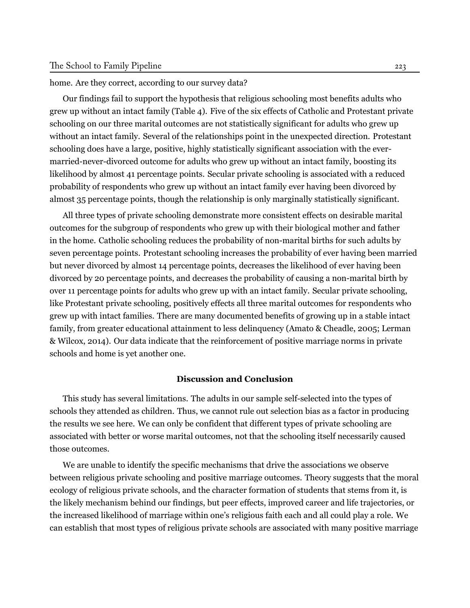home. Are they correct, according to our survey data?

Our findings fail to support the hypothesis that religious schooling most benefits adults who grew up without an intact family (Table 4). Five of the six effects of Catholic and Protestant private schooling on our three marital outcomes are not statistically significant for adults who grew up without an intact family. Several of the relationships point in the unexpected direction. Protestant schooling does have a large, positive, highly statistically significant association with the evermarried-never-divorced outcome for adults who grew up without an intact family, boosting its likelihood by almost 41 percentage points. Secular private schooling is associated with a reduced probability of respondents who grew up without an intact family ever having been divorced by almost 35 percentage points, though the relationship is only marginally statistically significant.

All three types of private schooling demonstrate more consistent effects on desirable marital outcomes for the subgroup of respondents who grew up with their biological mother and father in the home. Catholic schooling reduces the probability of non-marital births for such adults by seven percentage points. Protestant schooling increases the probability of ever having been married but never divorced by almost 14 percentage points, decreases the likelihood of ever having been divorced by 20 percentage points, and decreases the probability of causing a non-marital birth by over 11 percentage points for adults who grew up with an intact family. Secular private schooling, like Protestant private schooling, positively effects all three marital outcomes for respondents who grew up with intact families. There are many documented benefits of growing up in a stable intact family, from greater educational attainment to less delinquency ([Amato & Cheadle,](#page-23-11) [2005](#page-23-11); [Lerman](#page-26-11) [& Wilcox](#page-26-11), [2014\)](#page-26-11). Our data indicate that the reinforcement of positive marriage norms in private schools and home is yet another one.

#### **Discussion and Conclusion**

This study has several limitations. The adults in our sample self-selected into the types of schools they attended as children. Thus, we cannot rule out selection bias as a factor in producing the results we see here. We can only be confident that different types of private schooling are associated with better or worse marital outcomes, not that the schooling itself necessarily caused those outcomes.

We are unable to identify the specific mechanisms that drive the associations we observe between religious private schooling and positive marriage outcomes. Theory suggests that the moral ecology of religious private schools, and the character formation of students that stems from it, is the likely mechanism behind our findings, but peer effects, improved career and life trajectories, or the increased likelihood of marriage within one's religious faith each and all could play a role. We can establish that most types of religious private schools are associated with many positive marriage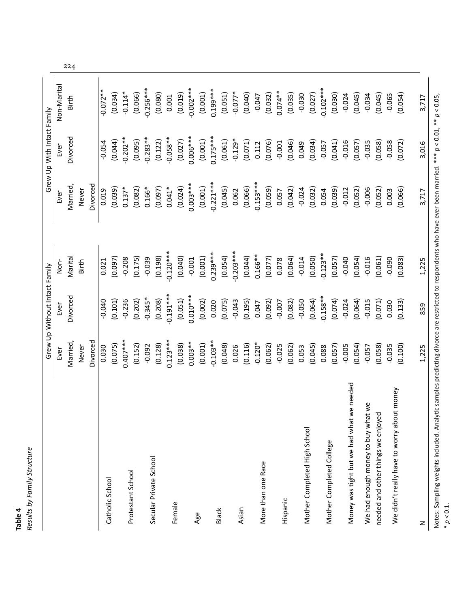| Ч    | Structure<br>Family<br>ă |
|------|--------------------------|
|      |                          |
| elde | esults                   |

|                                            |            | Grew Up Without Intact Family |             |             | Grew Up With Intact Family |             |
|--------------------------------------------|------------|-------------------------------|-------------|-------------|----------------------------|-------------|
|                                            | Ever       | Ever                          | Non-        | Ever        | Ever                       | Non-Marital |
|                                            | Married,   | Divorced                      | Marital     | Married,    | Divorced                   | Birth       |
|                                            | Never      |                               | Birth       | Never       |                            |             |
|                                            | Divorced   |                               |             | Divorced    |                            |             |
|                                            | 0.030      | $-0.040$                      | 0.021       | 0.019       | $-0.054$                   | $-0.072**$  |
| Catholic School                            | (0.075)    | (0.101)                       | (0.097)     | (0.039)     | (0.044)                    | (0.034)     |
| Protestant School                          | $0.407***$ | $-0.236$                      | $-0.208$    | $0.137*$    | $-0.202**$                 | $-0.114*$   |
|                                            | (0.152)    | (0.202)                       | (0.175)     | (0.082)     | (0.095)                    | (0.066)     |
| Secular Private School                     | $-0.092$   | $-0.345*$                     | $-0.039$    | $0.166*$    | $-0.283**$                 | $-0.256***$ |
|                                            | (0.128)    | (0.208)                       | (0.198)     | (0.097)     | (0.122)                    | (0.080)     |
|                                            | $0.123***$ | $-0.191***$                   | $-0.120***$ | $0.041*$    | $-0.058**$                 | 0.001       |
| Female                                     | (0.038)    | (0.051)                       | (0.040)     | (0.024)     | (0.027)                    | (0.019)     |
|                                            | $0.003***$ | $0.010***$                    | $-0.001$    | $0.003***$  | $0.006***$                 | $-0.002***$ |
| Age                                        | (0.001)    | (0.002)                       | (0.001)     | (0.001)     | (0.001)                    | (0.001)     |
| <b>Black</b>                               | $-0.103**$ | 0.020                         | $0.239***$  | $-0.221***$ | $0.175***$                 | $0.199***$  |
|                                            | (0.048)    | (0.075)                       | (0.054)     | (0.045)     | (0.061)                    | (0.051)     |
|                                            | 0.026      | $-0.043$                      | $-0.203***$ | 0.062       | $-0.129*$                  | $-0.077*$   |
| Asian                                      | (0.116)    | (0.195)                       | (0.044)     | (0.066)     | (0.071)                    | (0.040)     |
|                                            | $-0.120*$  | 0.047                         | $0.166***$  | $-0.153***$ | 0.112                      | $-0.047$    |
| More than one Race                         | (0.062)    | (0.092)                       | (0.077)     | (0.059)     | (0.076)                    | (0.032)     |
|                                            | $-0.025$   | $-0.007$                      | 0.078       | 0.057       | $-0.001$                   | $0.074**$   |
| Hispanic                                   | (0.062)    | (0.082)                       | (0.064)     | (0.042)     | (0.046)                    | (0.035)     |
| Mother Completed High School               | 0.053      | $-0.050$                      | $-0.014$    | $-0.024$    | 0.049                      | $-0.030$    |
|                                            | (0.045)    | (0.064)                       | (0.050)     | (0.032)     | (0.034)                    | (0.027)     |
| Mother Completed College                   | 0.088      | $-0.158**$                    | $-0.123**$  | 0.054       | $-0.057$                   | $-0.102***$ |
|                                            | (0.057)    | (0.074)                       | (0.057)     | (0.039)     | (0.041)                    | (0.030)     |
| Money was tight but we had what we needed  | $-0.005$   | $-0.024$                      | $-0.040$    | $-0.012$    | $-0.016$                   | $-0.024$    |
|                                            | (0.054)    | (0.064)                       | (0.054)     | (0.052)     | (0.057)                    | (0.045)     |
| We had enough money to buy what we         | $-0.057$   | $-0.015$                      | $-0.016$    | $-0.006$    | $-0.035$                   | $-0.034$    |
| needed and other things we enjoyed         | (0.058)    | (0.071)                       | (0.061)     | (0.052)     | (0.058)                    | (0.045)     |
| We didn't really have to worry about money | $-0.035$   | 0.030                         | $-0.090$    | 0.003       | $-0.058$                   | $-0.065$    |
|                                            | (0.100)    | (0.133)                       | (0.083)     | (0.066)     | (0.072)                    | (0.054)     |
| z                                          | 1,225      | 859                           | 1,225       | 3,717       | 3,016                      | 3,717       |

224

Notes: Sampling weights included. Analytic samples predicting divorce are restricted to respondents who have ever been married. \*\*\* p < 0.01, \*\* *p* < 0.05,  $* p < 0.1$ .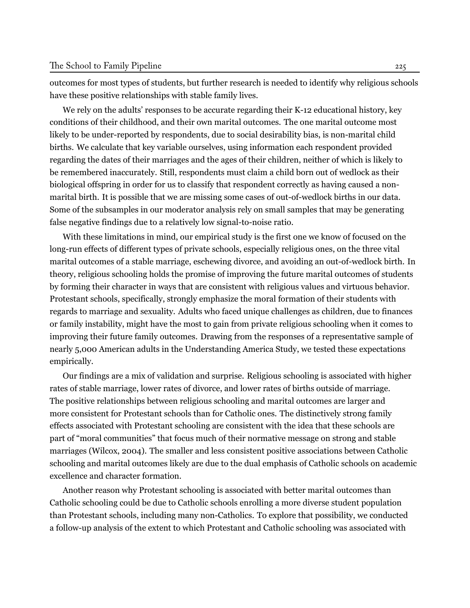outcomes for most types of students, but further research is needed to identify why religious schools have these positive relationships with stable family lives.

We rely on the adults' responses to be accurate regarding their K-12 educational history, key conditions of their childhood, and their own marital outcomes. The one marital outcome most likely to be under-reported by respondents, due to social desirability bias, is non-marital child births. We calculate that key variable ourselves, using information each respondent provided regarding the dates of their marriages and the ages of their children, neither of which is likely to be remembered inaccurately. Still, respondents must claim a child born out of wedlock as their biological offspring in order for us to classify that respondent correctly as having caused a nonmarital birth. It is possible that we are missing some cases of out-of-wedlock births in our data. Some of the subsamples in our moderator analysis rely on small samples that may be generating false negative findings due to a relatively low signal-to-noise ratio.

With these limitations in mind, our empirical study is the first one we know of focused on the long-run effects of different types of private schools, especially religious ones, on the three vital marital outcomes of a stable marriage, eschewing divorce, and avoiding an out-of-wedlock birth. In theory, religious schooling holds the promise of improving the future marital outcomes of students by forming their character in ways that are consistent with religious values and virtuous behavior. Protestant schools, specifically, strongly emphasize the moral formation of their students with regards to marriage and sexuality. Adults who faced unique challenges as children, due to finances or family instability, might have the most to gain from private religious schooling when it comes to improving their future family outcomes. Drawing from the responses of a representative sample of nearly 5,000 American adults in the Understanding America Study, we tested these expectations empirically.

Our findings are a mix of validation and surprise. Religious schooling is associated with higher rates of stable marriage, lower rates of divorce, and lower rates of births outside of marriage. The positive relationships between religious schooling and marital outcomes are larger and more consistent for Protestant schools than for Catholic ones. The distinctively strong family effects associated with Protestant schooling are consistent with the idea that these schools are part of "moral communities" that focus much of their normative message on strong and stable marriages ([Wilcox](#page-28-6), [2004](#page-28-6)). The smaller and less consistent positive associations between Catholic schooling and marital outcomes likely are due to the dual emphasis of Catholic schools on academic excellence and character formation.

Another reason why Protestant schooling is associated with better marital outcomes than Catholic schooling could be due to Catholic schools enrolling a more diverse student population than Protestant schools, including many non-Catholics. To explore that possibility, we conducted a follow-up analysis of the extent to which Protestant and Catholic schooling was associated with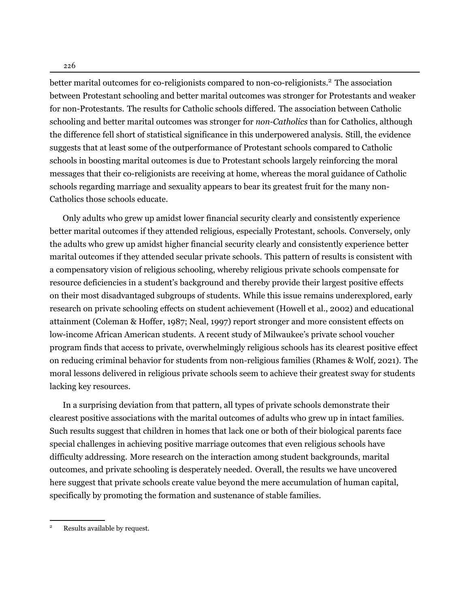226

better marital outcomes for co-religionists compared to non-co-religionists.<sup>2</sup> The association between Protestant schooling and better marital outcomes was stronger for Protestants and weaker for non-Protestants. The results for Catholic schools differed. The association between Catholic schooling and better marital outcomes was stronger for *non-Catholics* than for Catholics, although the difference fell short of statistical significance in this underpowered analysis. Still, the evidence suggests that at least some of the outperformance of Protestant schools compared to Catholic schools in boosting marital outcomes is due to Protestant schools largely reinforcing the moral messages that their co-religionists are receiving at home, whereas the moral guidance of Catholic schools regarding marriage and sexuality appears to bear its greatest fruit for the many non-Catholics those schools educate.

Only adults who grew up amidst lower financial security clearly and consistently experience better marital outcomes if they attended religious, especially Protestant, schools. Conversely, only the adults who grew up amidst higher financial security clearly and consistently experience better marital outcomes if they attended secular private schools. This pattern of results is consistent with a compensatory vision of religious schooling, whereby religious private schools compensate for resource deficiencies in a student's background and thereby provide their largest positive effects on their most disadvantaged subgroups of students. While this issue remains underexplored, early research on private schooling effects on student achievement [\(Howell et al.](#page-26-12), [2002\)](#page-26-12) and educational attainment ([Coleman & Hoffer](#page-24-14), [1987;](#page-24-14) [Neal,](#page-27-2) [1997](#page-27-2)) report stronger and more consistent effects on low-income African American students. A recent study of Milwaukee's private school voucher program finds that access to private, overwhelmingly religious schools has its clearest positive effect on reducing criminal behavior for students from non-religious families [\(Rhames & Wolf,](#page-27-11) [2021\)](#page-27-11). The moral lessons delivered in religious private schools seem to achieve their greatest sway for students lacking key resources.

In a surprising deviation from that pattern, all types of private schools demonstrate their clearest positive associations with the marital outcomes of adults who grew up in intact families. Such results suggest that children in homes that lack one or both of their biological parents face special challenges in achieving positive marriage outcomes that even religious schools have difficulty addressing. More research on the interaction among student backgrounds, marital outcomes, and private schooling is desperately needed. Overall, the results we have uncovered here suggest that private schools create value beyond the mere accumulation of human capital, specifically by promoting the formation and sustenance of stable families.

<sup>2</sup> Results available by request.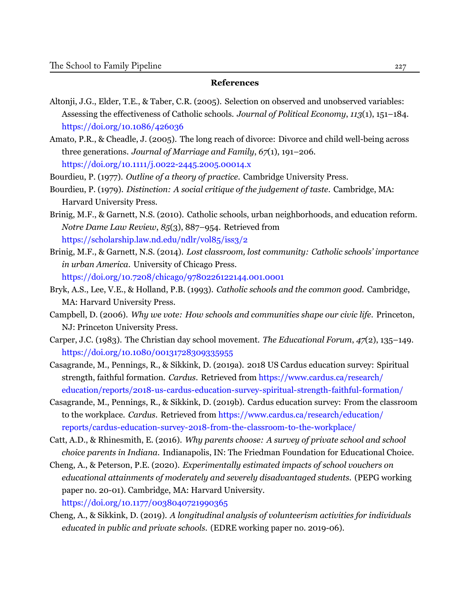#### **References**

- <span id="page-23-5"></span>Altonji, J.G., Elder, T.E., & Taber, C.R. (2005). Selection on observed and unobserved variables: Assessing the effectiveness of Catholic schools. *Journal of Political Economy*, *113*(1), 151–184. <https://doi.org/10.1086/426036>
- <span id="page-23-11"></span>Amato, P.R., & Cheadle, J. (2005). The long reach of divorce: Divorce and child well-being across three generations. *Journal of Marriage and Family*, *67*(1), 191–206. <https://doi.org/10.1111/j.0022-2445.2005.00014.x>
- <span id="page-23-10"></span>Bourdieu, P. (1977). *Outline of a theory of practice*. Cambridge University Press.
- <span id="page-23-12"></span>Bourdieu, P. (1979). *Distinction: A social critique of the judgement of taste*. Cambridge, MA: Harvard University Press.
- <span id="page-23-13"></span>Brinig, M.F., & Garnett, N.S. (2010). Catholic schools, urban neighborhoods, and education reform. *Notre Dame Law Review*, *85*(3), 887–954. [Retrieved from](https://scholarship.law.nd.edu/ndlr/vol85/iss3/2) <https://scholarship.law.nd.edu/ndlr/vol85/iss3/2>
- <span id="page-23-8"></span>Brinig, M.F., & Garnett, N.S. (2014). *Lost classroom, lost community: Catholic schools' importance in urban America*. University of Chicago Press. <https://doi.org/10.7208/chicago/9780226122144.001.0001>
- <span id="page-23-4"></span>Bryk, A.S., Lee, V.E., & Holland, P.B. (1993). *Catholic schools and the common good*. Cambridge, MA: Harvard University Press.
- <span id="page-23-2"></span>Campbell, D. (2006). *Why we vote: How schools and communities shape our civic life*. Princeton, NJ: Princeton University Press.
- <span id="page-23-9"></span>Carper, J.C. (1983). The Christian day school movement. *The Educational Forum*, *47*(2), 135–149. <https://doi.org/10.1080/00131728309335955>
- <span id="page-23-7"></span>Casagrande, M., Pennings, R., & Sikkink, D. (2019a). 2018 US Cardus education survey: Spiritual strength, faithful formation. *Cardus*. Retrieved from [https://www.cardus.ca/research/](https://www.cardus.ca/research/education/reports/2018-us-cardus-education-survey-spiritual-strength-faithful-formation/) [education/reports/2018-us-cardus-education-survey-spiritual-strength-faithful-formation/](https://www.cardus.ca/research/education/reports/2018-us-cardus-education-survey-spiritual-strength-faithful-formation/)
- <span id="page-23-0"></span>Casagrande, M., Pennings, R., & Sikkink, D. (2019b). Cardus education survey: From the classroom to the workplace. *Cardus*. Retrieved from [https://www.cardus.ca/research/education/](https://www.cardus.ca/research/education/reports/cardus-education-survey-2018-from-the-classroom-to-the-workplace/) [reports/cardus-education-survey-2018-from-the-classroom-to-the-workplace/](https://www.cardus.ca/research/education/reports/cardus-education-survey-2018-from-the-classroom-to-the-workplace/)
- <span id="page-23-1"></span>Catt, A.D., & Rhinesmith, E. (2016). *Why parents choose: A survey of private school and school choice parents in Indiana.* Indianapolis, IN: The Friedman Foundation for Educational Choice.
- <span id="page-23-6"></span>Cheng, A., & Peterson, P.E. (2020). *Experimentally estimated impacts of school vouchers on educational attainments of moderately and severely disadvantaged students*. (PEPG working paper no. 20-01). Cambridge, MA: Harvard University. <https://doi.org/10.1177/0038040721990365>
- <span id="page-23-3"></span>Cheng, A., & Sikkink, D. (2019). *A longitudinal analysis of volunteerism activities for individuals educated in public and private schools*. (EDRE working paper no. 2019-06).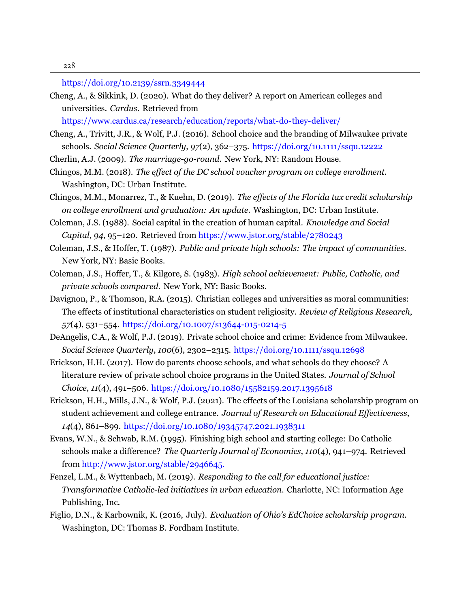[https://doi.org/10.2139/ssrn.3349444](https://doi.org/https://dx.doi.org/10.2139/ssrn.3349444)

<span id="page-24-11"></span>Cheng, A., & Sikkink, D. (2020). What do they deliver? A report on American colleges and universities. *Cardus*. [Retrieved](https://www.cardus.ca/research/education/reports/what-do-they-deliver/) from

<https://www.cardus.ca/research/education/reports/what-do-they-deliver/>

- <span id="page-24-9"></span>Cheng, A., Trivitt, J.R., & Wolf, P.J. (2016). School choice and the branding of Milwaukee private schools. *Social Science Quarterly*, *97*(2), 362–375. <https://doi.org/10.1111/ssqu.12222>
- <span id="page-24-13"></span><span id="page-24-5"></span>Cherlin, A.J. (2009). *The marriage-go-round*. New York, NY: Random House.
- Chingos, M.M. (2018). *The effect of the DC school voucher program on college enrollment*. Washington, DC: Urban Institute.
- <span id="page-24-6"></span>Chingos, M.M., Monarrez, T., & Kuehn, D. (2019). *The effects of the Florida tax credit scholarship on college enrollment and graduation: An update*. Washington, DC: Urban Institute.
- <span id="page-24-3"></span>Coleman, J.S. (1988). Social capital in the creation of human capital. *Knowledge and Social Capital*, *94*, 95–120. Retrieved from <https://www.jstor.org/stable/2780243>
- <span id="page-24-14"></span>Coleman, J.S., & Hoffer, T. (1987). *Public and private high schools: The impact of communities*. New York, NY: Basic Books.
- <span id="page-24-2"></span>Coleman, J.S., Hoffer, T., & Kilgore, S. (1983). *High school achievement: Public, Catholic, and private schools compared*. New York, NY: Basic Books.
- <span id="page-24-12"></span>Davignon, P., & Thomson, R.A. (2015). Christian colleges and universities as moral communities: The effects of institutional characteristics on student religiosity. *Review of Religious Research*, *57*(4), 531–554. <https://doi.org/10.1007/s13644-015-0214-5>
- <span id="page-24-1"></span>DeAngelis, C.A., & Wolf, P.J. (2019). Private school choice and crime: Evidence from Milwaukee. *Social Science Quarterly*, *100*(6), 2302–2315. <https://doi.org/10.1111/ssqu.12698>
- <span id="page-24-0"></span>Erickson, H.H. (2017). How do parents choose schools, and what schools do they choose? A literature review of private school choice programs in the United States. *Journal of School Choice*, *11*(4), 491–506. <https://doi.org/10.1080/15582159.2017.1395618>
- <span id="page-24-7"></span>Erickson, H.H., Mills, J.N., & Wolf, P.J. (2021). The effects of the Louisiana scholarship program on student achievement and college entrance. *Journal of Research on Educational Effectiveness*, *14*(4), 861–899. <https://doi.org/10.1080/19345747.2021.1938311>
- <span id="page-24-4"></span>Evans, W.N., & Schwab, R.M. (1995). Finishing high school and starting college: Do Catholic schools make a difference? *The Quarterly Journal of Economics*, *110*(4), 941–974. [Retrieved](http://www.jstor.org/stable/2946645 .) from [http://www.jstor.org/stable/2946645.](http://www.jstor.org/stable/2946645 .)
- <span id="page-24-10"></span>Fenzel, L.M., & Wyttenbach, M. (2019). *Responding to the call for educational justice: Transformative Catholic-led initiatives in urban education*. Charlotte, NC: Information Age Publishing, Inc.
- <span id="page-24-8"></span>Figlio, D.N., & Karbownik, K. (2016, July). *Evaluation of Ohio's EdChoice scholarship program*. Washington, DC: Thomas B. Fordham Institute.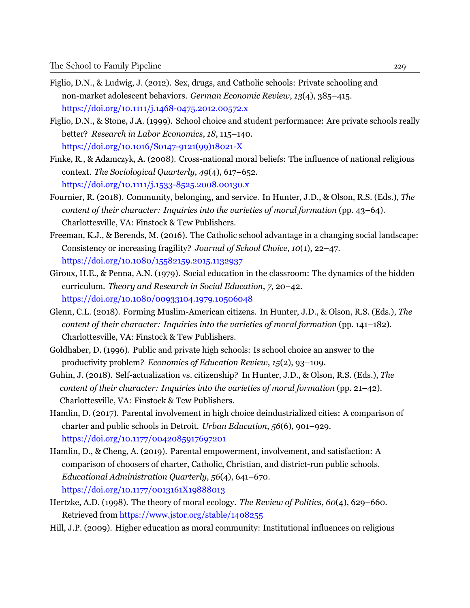- <span id="page-25-9"></span>Figlio, D.N., & Ludwig, J. (2012). Sex, drugs, and Catholic schools: Private schooling and non-market adolescent behaviors. *German Economic Review*, *13*(4), 385–415. <https://doi.org/10.1111/j.1468-0475.2012.00572.x>
- <span id="page-25-2"></span>Figlio, D.N., & Stone, J.A. (1999). School choice and student performance: Are private schools really better? *Research in Labor Economics*, *18*, 115–140. [https://doi.org/10.1016/S0147-9121\(99\)18021-X](https://doi.org/10.1016/S0147-9121(99)18021-X)
- <span id="page-25-4"></span>Finke, R., & Adamczyk, A. (2008). Cross-national moral beliefs: The influence of national religious context. *The Sociological Quarterly*, *49*(4), 617–652. [https://doi.org/10.1111/j.1533-8525.2008.00130.x](https://doi.org/doi.org/10.1111/j.1533-8525.2008.00130.x)
- <span id="page-25-7"></span>Fournier, R. (2018). Community, belonging, and service. In Hunter, J.D., & Olson, R.S. (Eds.), *The content of their character: Inquiries into the varieties of moral formation* (pp. 43–64). Charlottesville, VA: Finstock & Tew Publishers.
- <span id="page-25-3"></span>Freeman, K.J., & Berends, M. (2016). The Catholic school advantage in a changing social landscape: Consistency or increasing fragility? *Journal of School Choice*, *10*(1), 22–47. [https://doi.org/10.1080/15582159.2015.1132937](https://doi.org/doi.org/10.1080/15582159.2015.1132937)
- <span id="page-25-5"></span>Giroux, H.E., & Penna, A.N. (1979). Social education in the classroom: The dynamics of the hidden curriculum. *Theory and Research in Social Education*, *7*, 20–42. <https://doi.org/10.1080/00933104.1979.10506048>
- Glenn, C.L. (2018). Forming Muslim-American citizens. In Hunter, J.D., & Olson, R.S. (Eds.), *The content of their character: Inquiries into the varieties of moral formation* (pp. 141–182). Charlottesville, VA: Finstock & Tew Publishers.
- <span id="page-25-1"></span>Goldhaber, D. (1996). Public and private high schools: Is school choice an answer to the productivity problem? *Economics of Education Review*, *15*(2), 93–109.
- <span id="page-25-6"></span>Guhin, J. (2018). Self-actualization vs. citizenship? In Hunter, J.D., & Olson, R.S. (Eds.), *The content of their character: Inquiries into the varieties of moral formation* (pp. 21–42). Charlottesville, VA: Finstock & Tew Publishers.
- Hamlin, D. (2017). Parental involvement in high choice deindustrialized cities: A comparison of charter and public schools in Detroit. *Urban Education*, *56*(6), 901–929. <https://doi.org/10.1177/0042085917697201>
- Hamlin, D., & Cheng, A. (2019). Parental empowerment, involvement, and satisfaction: A comparison of choosers of charter, Catholic, Christian, and district-run public schools. *Educational Administration Quarterly*, *56*(4), 641–670. <https://doi.org/10.1177/0013161X19888013>
- <span id="page-25-0"></span>Hertzke, A.D. (1998). The theory of moral ecology. *The Review of Politics*, *60*(4), 629–660. Retrieved from <https://www.jstor.org/stable/1408255>
- <span id="page-25-8"></span>Hill, J.P. (2009). Higher education as moral community: Institutional influences on religious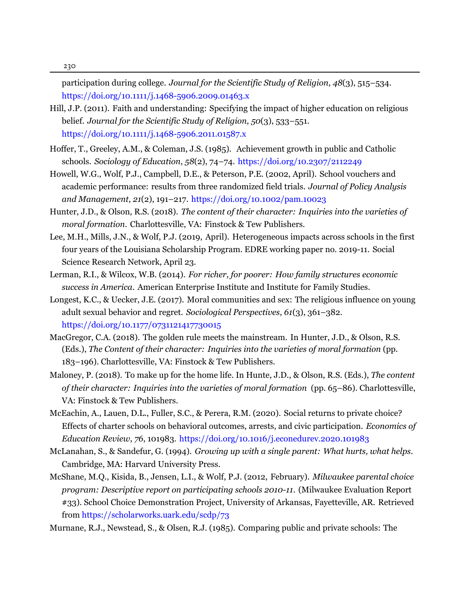230

participation during college. *Journal for the Scientific Study of Religion*, *48*(3), 515–534. <https://doi.org/10.1111/j.1468-5906.2009.01463.x>

- <span id="page-26-9"></span>Hill, J.P. (2011). Faith and understanding: Specifying the impact of higher education on religious belief. *Journal for the Scientific Study of Religion*, *50*(3), 533–551. <https://doi.org/10.1111/j.1468-5906.2011.01587.x>
- <span id="page-26-2"></span>Hoffer, T., Greeley, A.M., & Coleman, J.S. (1985). Achievement growth in public and Catholic schools. *Sociology of Education*, *58*(2), 74–74. <https://doi.org/10.2307/2112249>
- <span id="page-26-12"></span>Howell, W.G., Wolf, P.J., Campbell, D.E., & Peterson, P.E. (2002, April). School vouchers and academic performance: results from three randomized field trials. *Journal of Policy Analysis and Management*, *21*(2), 191–217. <https://doi.org/10.1002/pam.10023>
- <span id="page-26-0"></span>Hunter, J.D., & Olson, R.S. (2018). *The content of their character: Inquiries into the varieties of moral formation*. Charlottesville, VA: Finstock & Tew Publishers.
- <span id="page-26-4"></span>Lee, M.H., Mills, J.N., & Wolf, P.J. (2019, April). Heterogeneous impacts across schools in the first four years of the Louisiana Scholarship Program. EDRE working paper no. 2019-11. Social Science Research Network, April 23.
- <span id="page-26-11"></span>Lerman, R.I., & Wilcox, W.B. (2014). *For richer, for poorer: How family structures economic success in America*. American Enterprise Institute and Institute for Family Studies.
- <span id="page-26-7"></span>Longest, K.C., & Uecker, J.E. (2017). Moral communities and sex: The religious influence on young adult sexual behavior and regret. *Sociological Perspectives*, *61*(3), 361–382. <https://doi.org/10.1177/0731121417730015>
- <span id="page-26-6"></span>MacGregor, C.A. (2018). The golden rule meets the mainstream. In Hunter, J.D., & Olson, R.S. (Eds.), *The Content of their character: Inquiries into the varieties of moral formation* (pp. 183–196). Charlottesville, VA: Finstock & Tew Publishers.
- <span id="page-26-8"></span>Maloney, P. (2018). To make up for the home life. In Hunte, J.D., & Olson, R.S. (Eds.), *The content of their character: Inquiries into the varieties of moral formation* (pp. 65–86). Charlottesville, VA: Finstock & Tew Publishers.
- <span id="page-26-1"></span>McEachin, A., Lauen, D.L., Fuller, S.C., & Perera, R.M. (2020). Social returns to private choice? Effects of charter schools on behavioral outcomes, arrests, and civic participation. *Economics of Education Review*, *76*, 101983. <https://doi.org/10.1016/j.econedurev.2020.101983>
- <span id="page-26-10"></span>McLanahan, S., & Sandefur, G. (1994). *Growing up with a single parent: What hurts, what helps*. Cambridge, MA: Harvard University Press.
- <span id="page-26-5"></span>McShane, M.Q., Kisida, B., Jensen, L.I., & Wolf, P.J. (2012, February). *Milwaukee parental choice program: Descriptive report on participating schools 2010-11*. (Milwaukee Evaluation Report #33). School Choice Demonstration Project, University of Arkansas, Fayetteville, AR. Retrieved from <https://scholarworks.uark.edu/scdp/73>

<span id="page-26-3"></span>Murnane, R.J., Newstead, S., & Olsen, R.J. (1985). Comparing public and private schools: The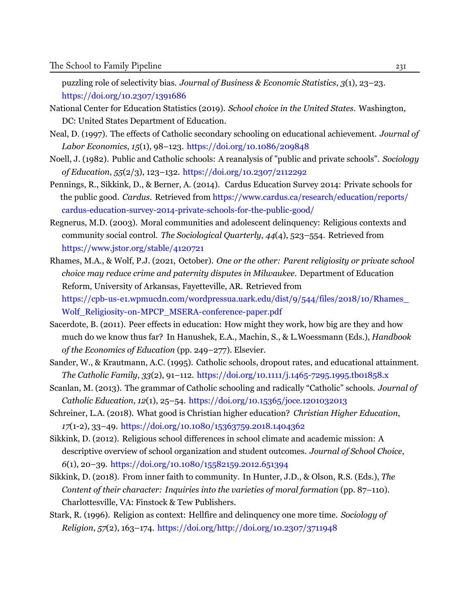puzzling role of selectivity bias. *Journal of Business & Economic Statistics*, *3*(1), 23–23. <https://doi.org/10.2307/1391686>

- National Center for Education Statistics (2019). *School choice in the United States*. Washington, DC: United States Department of Education.
- <span id="page-27-2"></span>Neal, D. (1997). The effects of Catholic secondary schooling on educational achievement. *Journal of Labor Economics*, *15*(1), 98–123. [https://doi.org/10.1086/209848](https://doi.org/http://dx.doi.org/10.1086/209848)
- <span id="page-27-4"></span>Noell, J. (1982). Public and Catholic schools: A reanalysis of "public and private schools". *Sociology of Education*, *55*(2/3), 123–132. <https://doi.org/10.2307/2112292>
- <span id="page-27-0"></span>Pennings, R., Sikkink, D., & Berner, A. (2014). Cardus Education Survey 2014: Private schools for the public good. *Cardus*. Retrieved from [https://www.cardus.ca/research/education/reports/](https://www.cardus.ca/research/education/reports/cardus-education-survey-2014-private-schools-for-the-public-good/) [cardus-education-survey-2014-private-schools-for-the-public-good/](https://www.cardus.ca/research/education/reports/cardus-education-survey-2014-private-schools-for-the-public-good/)
- <span id="page-27-7"></span>Regnerus, M.D. (2003). Moral communities and adolescent delinquency: Religious contexts and community social control. *The Sociological Quarterly*, *44*(4), 523–554. [Retrieved from](https://www.jstor.org/stable/4120721) <https://www.jstor.org/stable/4120721>
- <span id="page-27-11"></span>Rhames, M.A., & Wolf, P.J. (2021, October). *One or the other: Parent religiosity or private school choice may reduce crime and paternity disputes in Milwaukee*. Department of Education Reform, University of Arkansas, Fayetteville, AR. [Retrieved](https://cpb-us-e1.wpmucdn.com/wordpressua.uark.edu/dist/9/544/files/2018/10/Rhames_Wolf_Religiosity-on-MPCP_MSERA-conference-paper.pdf) from [https://cpb-us-e1.wpmucdn.com/wordpressua.uark.edu/dist/9/544/files/2018/10/Rhames\\_](https://cpb-us-e1.wpmucdn.com/wordpressua.uark.edu/dist/9/544/files/2018/10/Rhames_Wolf_Religiosity-on-MPCP_MSERA-conference-paper.pdf) [Wolf\\_Religiosity-on-MPCP\\_MSERA-conference-paper.pdf](https://cpb-us-e1.wpmucdn.com/wordpressua.uark.edu/dist/9/544/files/2018/10/Rhames_Wolf_Religiosity-on-MPCP_MSERA-conference-paper.pdf)
- <span id="page-27-1"></span>Sacerdote, B. (2011). Peer effects in education: How might they work, how big are they and how much do we know thus far? In Hanushek, E.A., Machin, S., & L.Woessmann (Eds.), *Handbook of the Economics of Education* (pp. 249–277). Elsevier.
- <span id="page-27-3"></span>Sander, W., & Krautmann, A.C. (1995). Catholic schools, dropout rates, and educational attainment. *The Catholic Family*, *33*(2), 91–112. <https://doi.org/10.1111/j.1465-7295.1995.tb01858.x>
- <span id="page-27-6"></span>Scanlan, M. (2013). The grammar of Catholic schooling and radically "Catholic" schools. *Journal of Catholic Education*, *12*(1), 25–54. <https://doi.org/10.15365/joce.1201032013>
- <span id="page-27-10"></span>Schreiner, L.A. (2018). What good is Christian higher education? *Christian Higher Education*, *17*(1-2), 33–49. <https://doi.org/10.1080/15363759.2018.1404362>
- <span id="page-27-5"></span>Sikkink, D. (2012). Religious school differences in school climate and academic mission: A descriptive overview of school organization and student outcomes. *Journal of School Choice*, *6*(1), 20–39. <https://doi.org/10.1080/15582159.2012.651394>
- <span id="page-27-9"></span>Sikkink, D. (2018). From inner faith to community. In Hunter, J.D., & Olson, R.S. (Eds.), *The Content of their character: Inquiries into the varieties of moral formation* (pp. 87–110). Charlottesville, VA: Finstock & Tew Publishers.
- <span id="page-27-8"></span>Stark, R. (1996). Religion as context: Hellfire and delinquency one more time. *Sociology of Religion*, *57*(2), 163–174. <https://doi.org/http://doi.org/10.2307/3711948>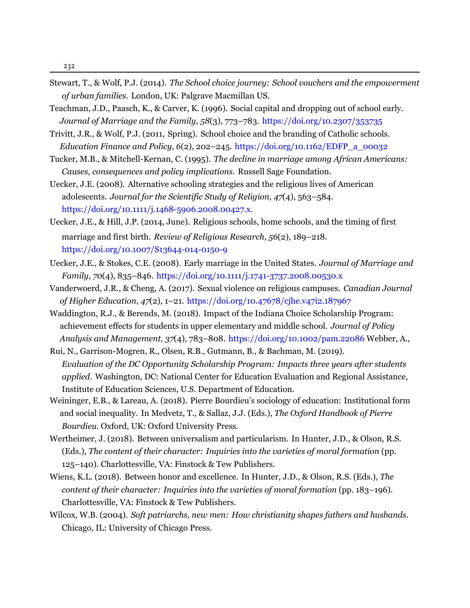- <span id="page-28-11"></span>Stewart, T., & Wolf, P.J. (2014). *The School choice journey: School vouchers and the empowerment of urban families*. London, UK: Palgrave Macmillan US.
- <span id="page-28-12"></span>Teachman, J.D., Paasch, K., & Carver, K. (1996). Social capital and dropping out of school early.  *Journal of Marriage and the Family*, *58*(3), 773–783. <https://doi.org/10.2307/353735>
- <span id="page-28-5"></span>Trivitt, J.R., & Wolf, P.J. (2011, Spring). School choice and the branding of Catholic schools.  *Education Finance and Policy*, *6*(2), 202–245. [https://doi.org/10.1162/EDFP\\_a\\_00032](https://doi.org/DOI:10.1162/EDFP_a_00032)
- <span id="page-28-10"></span>Tucker, M.B., & Mitchell-Kernan, C. (1995). *The decline in marriage among African Americans: Causes, consequences and policy implications*. Russell Sage Foundation.
- Uecker, J.E. (2008). Alternative schooling strategies and the religious lives of American adolescents. *Journal for the Scientific Study of Religion*, *47*(4), 563–584. <https://doi.org/10.1111/j.1468-5906.2008.00427.x.>
- <span id="page-28-0"></span>Uecker, J.E., & Hill, J.P. (2014, June). Religious schools, home schools, and the timing of first marriage and first birth. *Review of Religious Research*, *56*(2), 189–218. <https://doi.org/10.1007/S13644-014-0150-9>
- <span id="page-28-1"></span>Uecker, J.E., & Stokes, C.E. (2008). Early marriage in the United States. *Journal of Marriage and Family*, *70*(4), 835–846. <https://doi.org/10.1111/j.1741-3737.2008.00530.x>
- <span id="page-28-9"></span>Vanderwoerd, J.R., & Cheng, A. (2017). Sexual violence on religious campuses. *Canadian Journal of Higher Education*, *47*(2), 1–21. [https://doi.org/10.47678/cjhe.v47i2.187967](https://doi.org/doi.org/10.47678/cjhe.v47i2.187967)
- <span id="page-28-2"></span>Waddington, R.J., & Berends, M. (2018). Impact of the Indiana Choice Scholarship Program: achievement effects for students in upper elementary and middle school. *Journal of Policy Analysis and Management*, *37*(4), 783–808. [https://doi.org/10.1002/pam.22086](https://doi.org/doi.org/10.1002/pam.22086) Webber, A.,
- <span id="page-28-3"></span>Rui, N., Garrison-Mogren, R., Olsen, R.B., Gutmann, B., & Bachman, M. (2019). *Evaluation of the DC Opportunity Scholarship Program: Impacts three years after students applied*. Washington, DC: National Center for Education Evaluation and Regional Assistance, Institute of Education Sciences, U.S. Department of Education.
- <span id="page-28-7"></span>Weininger, E.B., & Lareau, A. (2018). Pierre Bourdieu's sociology of education: Institutional form and social inequality. In Medvetz, T., & Sallaz, J.J. (Eds.), *The Oxford Handbook of Pierre Bourdieu.* Oxford, UK: Oxford University Press.
- <span id="page-28-8"></span>Wertheimer, J. (2018). Between universalism and particularism. In Hunter, J.D., & Olson, R.S. (Eds.), *The content of their character: Inquiries into the varieties of moral formation* (pp. 125–140). Charlottesville, VA: Finstock & Tew Publishers.
- <span id="page-28-4"></span>Wiens, K.L. (2018). Between honor and excellence. In Hunter, J.D., & Olson, R.S. (Eds.), *The content of their character: Inquiries into the varieties of moral formation* (pp. 183–196). Charlottesville, VA: Finstock & Tew Publishers.
- <span id="page-28-6"></span>Wilcox, W.B. (2004). *Soft patriarchs, new men: How christianity shapes fathers and husbands*. Chicago, IL: University of Chicago Press.